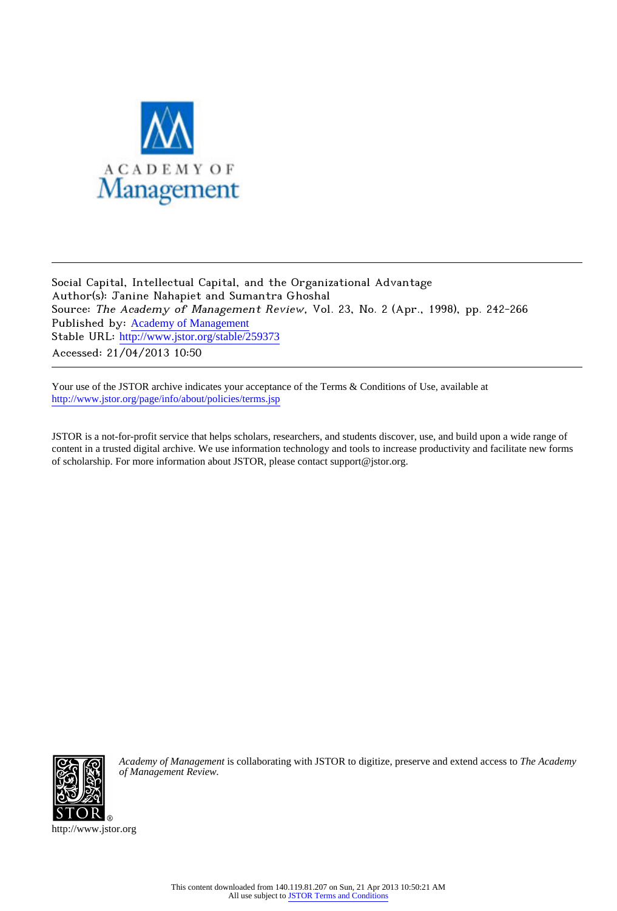

Social Capital, Intellectual Capital, and the Organizational Advantage Author(s): Janine Nahapiet and Sumantra Ghoshal Source: The Academy of Management Review, Vol. 23, No. 2 (Apr., 1998), pp. 242-266 Published by: [Academy of Management](http://www.jstor.org/action/showPublisher?publisherCode=aom) Stable URL: http://www.jstor.org/stable/259373 Accessed: 21/04/2013 10:50

Your use of the JSTOR archive indicates your acceptance of the Terms & Conditions of Use, available at <http://www.jstor.org/page/info/about/policies/terms.jsp>

JSTOR is a not-for-profit service that helps scholars, researchers, and students discover, use, and build upon a wide range of content in a trusted digital archive. We use information technology and tools to increase productivity and facilitate new forms of scholarship. For more information about JSTOR, please contact support@jstor.org.



*Academy of Management* is collaborating with JSTOR to digitize, preserve and extend access to *The Academy of Management Review.*

http://www.jstor.org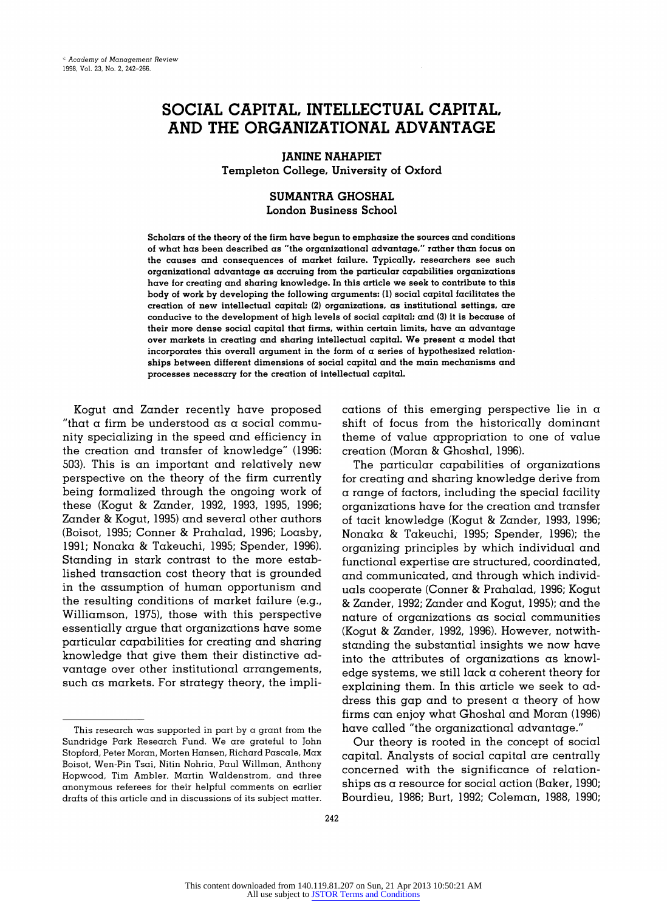# **SOCIAL CAPITAL, INTELLECTUAL CAPITAL, AND THE ORGANIZATIONAL ADVANTAGE**

**JANINE NAHAPIET Templeton College, University of Oxford** 

#### **SUMANTRA GHOSHAL**

**London Business School** 

**Scholars of the theory of the firm have begun to emphasize the sources and conditions of what has been described as "the organizational advantage," rather than focus on the causes and consequences of market failure. Typically, researchers see such organizational advantage as accruing from the particular capabilities organizations have for creating and sharing knowledge. In this article we seek to contribute to this body of work by developing the following arguments: (1) social capital facilitates the creation of new intellectual capital; (2) organizations, as institutional settings, are conducive to the development of high levels of social capital; and (3) it is because of their more dense social capital that firms, within certain limits, have an advantage over markets in creating and sharing intellectual capital. We present a model that incorporates this overall argument in the form of a series of hypothesized relationships between different dimensions of social capital and the main mechanisms and processes necessary for the creation of intellectual capital.** 

**Kogut and Zander recently have proposed "that a firm be understood as a social community specializing in the speed and efficiency in the creation and transfer of knowledge" (1996: 503). This is an important and relatively new perspective on the theory of the firm currently being formalized through the ongoing work of these (Kogut & Zander, 1992, 1993, 1995, 1996; Zander & Kogut, 1995) and several other authors (Boisot, 1995; Conner & Prahalad, 1996; Loasby, 1991; Nonaka & Takeuchi, 1995; Spender, 1996). Standing in stark contrast to the more established transaction cost theory that is grounded in the assumption of human opportunism and the resulting conditions of market failure (e.g., Williamson, 1975), those with this perspective essentially argue that organizations have some particular capabilities for creating and sharing knowledge that give them their distinctive advantage over other institutional arrangements, such as markets. For strategy theory, the impli-** **cations of this emerging perspective lie in a shift of focus from the historically dominant theme of value appropriation to one of value creation (Moran & Ghoshal, 1996).** 

**The particular capabilities of organizations for creating and sharing knowledge derive from a range of factors, including the special facility organizations have for the creation and transfer of tacit knowledge (Kogut & Zander, 1993, 1996; Nonaka & Takeuchi, 1995; Spender, 1996); the organizing principles by which individual and functional expertise are structured, coordinated, and communicated, and through which individuals cooperate (Conner & Prahalad, 1996; Kogut & Zander, 1992; Zander and Kogut, 1995); and the nature of organizations as social communities (Kogut & Zander, 1992, 1996). However, notwithstanding the substantial insights we now have into the attributes of organizations as knowledge systems, we still lack a coherent theory for explaining them. In this article we seek to address this gap and to present a theory of how firms can enjoy what Ghoshal and Moran (1996) have called "the organizational advantage."** 

**Our theory is rooted in the concept of social capital. Analysts of social capital are centrally concerned with the significance of relationships as a resource for social action (Baker, 1990; Bourdieu, 1986; Burt, 1992; Coleman, 1988, 1990;** 

**This research was supported in part by a grant from the Sundridge Park Research Fund. We are grateful to John Stopford, Peter Moran, Morten Hansen, Richard Pascale, Max Boisot, Wen-Pin Tsai, Nitin Nohria, Paul Willman, Anthony Hopwood, Tim Ambler, Martin Waldenstrom, and three anonymous referees for their helpful comments on earlier drafts of this article and in discussions of its subject matter.**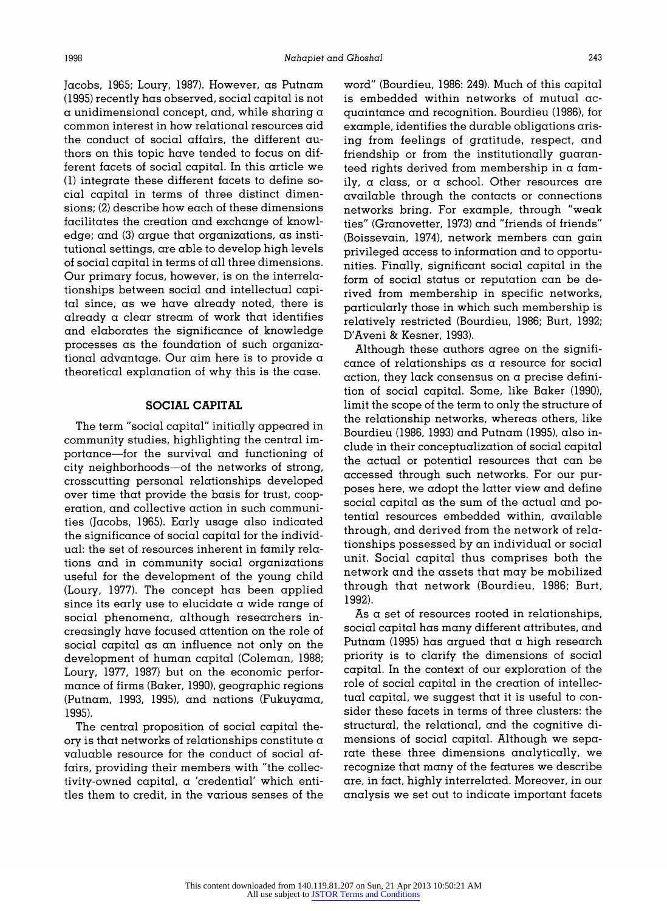**Jacobs, 1965; Loury, 1987). However, as Putnam (1995) recently has observed, social capital is not a unidimensional concept, and, while sharing a common interest in how relational resources aid the conduct of social affairs, the different authors on this topic have tended to focus on different facets of social capital. In this article we (1) integrate these different facets to define social capital in terms of three distinct dimensions; (2) describe how each of these dimensions facilitates the creation and exchange of knowledge; and (3) argue that organizations, as institutional settings, are able to develop high levels of social capital in terms of all three dimensions. Our primary focus, however, is on the interrelationships between social and intellectual capital since, as we have already noted, there is already a clear stream of work that identifies and elaborates the significance of knowledge processes as the foundation of such organizational advantage. Our aim here is to provide a theoretical explanation of why this is the case.** 

#### **SOCIAL CAPITAL**

**The term "social capital" initially appeared in community studies, highlighting the central importance-for the survival and functioning of city neighborhoods-of the networks of strong, crosscutting personal relationships developed over time that provide the basis for trust, cooperation, and collective action in such communities (Jacobs, 1965). Early usage also indicated the significance of social capital for the individual: the set of resources inherent in family relations and in community social organizations useful for the development of the young child (Loury, 1977). The concept has been applied since its early use to elucidate a wide range of social phenomena, although researchers increasingly have focused attention on the role of social capital as an influence not only on the development of human capital (Coleman, 1988; Loury, 1977, 1987) but on the economic performance of firms (Baker, 1990), geographic regions (Putnam, 1993, 1995), and nations (Fukuyama, 1995).** 

**The central proposition of social capital theory is that networks of relationships constitute a valuable resource for the conduct of social affairs, providing their members with "the collectivity-owned capital, a 'credential' which entitles them to credit, in the various senses of the** 

**word" (Bourdieu, 1986: 249). Much of this capital is embedded within networks of mutual acquaintance and recognition. Bourdieu (1986), for example, identifies the durable obligations arising from feelings of gratitude, respect, and friendship or from the institutionally guaranteed rights derived from membership in a family, a class, or a school. Other resources are available through the contacts or connections networks bring. For example, through "weak ties" (Granovetter, 1973) and "friends of friends" (Boissevain, 1974), network members can gain privileged access to information and to opportunities. Finally, significant social capital in the form of social status or reputation can be derived from membership in specific networks, particularly those in which such membership is relatively restricted (Bourdieu, 1986; Burt, 1992; D'Aveni & Kesner, 1993).** 

**Although these authors agree on the significance of relationships as a resource for social action, they lack consensus on a precise definition of social capital. Some, like Baker (1990), limit the scope of the term to only the structure of the relationship networks, whereas others, like Bourdieu (1986, 1993) and Putnam (1995), also include in their conceptualization of social capital the actual or potential resources that can be accessed through such networks. For our purposes here, we adopt the latter view and define social capital as the sum of the actual and potential resources embedded within, available through, and derived from the network of relationships possessed by an individual or social unit. Social capital thus comprises both the network and the assets that may be mobilized through that network (Bourdieu, 1986; Burt, 1992).** 

**As a set of resources rooted in relationships, social capital has many different attributes, and Putnam (1995) has argued that a high research priority is to clarify the dimensions of social capital. In the context of our exploration of the role of social capital in the creation of intellectual capital, we suggest that it is useful to consider these facets in terms of three clusters: the structural, the relational, and the cognitive dimensions of social capital. Although we separate these three dimensions analytically, we recognize that many of the features we describe are, in fact, highly interrelated. Moreover, in our analysis we set out to indicate important facets**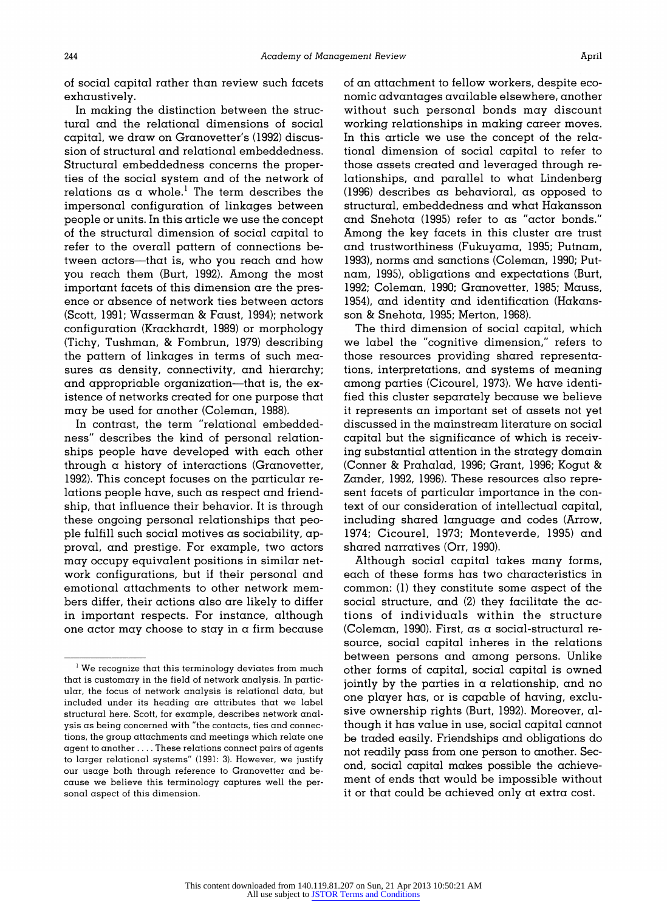**of social capital rather than review such facets exhaustively.** 

**In making the distinction between the structural and the relational dimensions of social capital, we draw on Granovetter's (1992) discussion of structural and relational embeddedness. Structural embeddedness concerns the properties of the social system and of the network of relations as a whole.' The term describes the impersonal configuration of linkages between people or units. In this article we use the concept of the structural dimension of social capital to refer to the overall pattern of connections between actors-that is, who you reach and how you reach them (Burt, 1992). Among the most important facets of this dimension are the presence or absence of network ties between actors (Scott, 1991; Wasserman & Faust, 1994); network configuration (Krackhardt, 1989) or morphology (Tichy, Tushman, & Fombrun, 1979) describing the pattern of linkages in terms of such measures as density, connectivity, and hierarchy;**  and appropriable organization-that is, the ex**istence of networks created for one purpose that may be used for another (Coleman, 1988).** 

**In contrast, the term "relational embeddedness" describes the kind of personal relationships people have developed with each other through a history of interactions (Granovetter, 1992). This concept focuses on the particular relations people have, such as respect and friendship, that influence their behavior. It is through these ongoing personal relationships that people fulfill such social motives as sociability, approval, and prestige. For example, two actors may occupy equivalent positions in similar network configurations, but if their personal and emotional attachments to other network members differ, their actions also are likely to differ in important respects. For instance, although one actor may choose to stay in a firm because** 

**of an attachment to fellow workers, despite economic advantages available elsewhere, another without such personal bonds may discount working relationships in making career moves. In this article we use the concept of the relational dimension of social capital to refer to those assets created and leveraged through relationships, and parallel to what Lindenberg (1996) describes as behavioral, as opposed to structural, embeddedness and what Hakansson and Snehota (1995) refer to as "actor bonds." Among the key facets in this cluster are trust and trustworthiness (Fukuyama, 1995; Putnam, 1993), norms and sanctions (Coleman, 1990; Putnam, 1995), obligations and expectations (Burt, 1992; Coleman, 1990; Granovetter, 1985; Mauss, 1954), and identity and identification (Hakansson & Snehota, 1995; Merton, 1968).** 

**The third dimension of social capital, which we label the "cognitive dimension," refers to those resources providing shared representations, interpretations, and systems of meaning among parties (Cicourel, 1973). We have identified this cluster separately because we believe it represents an important set of assets not yet discussed in the mainstream literature on social capital but the significance of which is receiving substantial attention in the strategy domain (Conner & Prahalad, 1996; Grant, 1996; Kogut & Zander, 1992, 1996). These resources also represent facets of particular importance in the context of our consideration of intellectual capital, including shared language and codes (Arrow, 1974; Cicourel, 1973; Monteverde, 1995) and shared narratives (Orr, 1990).** 

**Although social capital takes many forms, each of these forms has two characteristics in common: (1) they constitute some aspect of the social structure, and (2) they facilitate the actions of individuals within the structure (Coleman, 1990). First, as a social-structural resource, social capital inheres in the relations between persons and among persons. Unlike other forms of capital, social capital is owned jointly by the parties in a relationship, and no one player has, or is capable of having, exclusive ownership rights (Burt, 1992). Moreover, although it has value in use, social capital cannot be traded easily. Friendships and obligations do not readily pass from one person to another. Second, social capital makes possible the achievement of ends that would be impossible without it or that could be achieved only at extra cost.** 

**<sup>1</sup>We recognize that this terminology deviates from much that is customary in the field of network analysis. In particular, the focus of network analysis is relational data, but included under its heading are attributes that we label structural here. Scott, for example, describes network analysis as being concerned with "the contacts, ties and connections, the group attachments and meetings which relate one agent to another .... These relations connect pairs of agents to larger relational systems" (1991: 3). However, we justify our usage both through reference to Granovetter and because we believe this terminology captures well the personal aspect of this dimension.**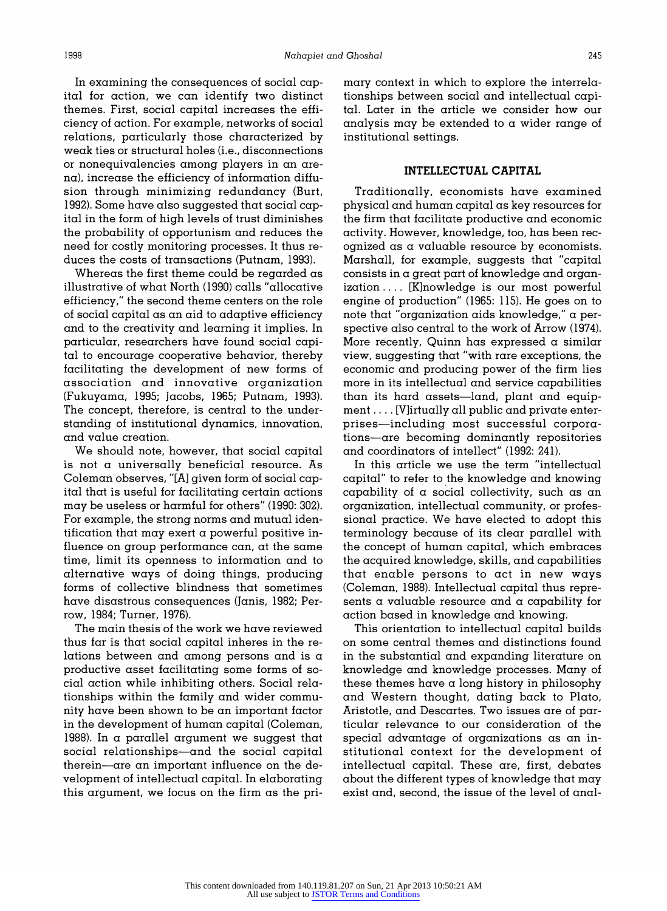**In examining the consequences of social capital for action, we can identify two distinct themes. First, social capital increases the efficiency of action. For example, networks of social relations, particularly those characterized by weak ties or structural holes (i.e., disconnections or nonequivalencies among players in an arena), increase the efficiency of information diffusion through minimizing redundancy (Burt, 1992). Some have also suggested that social capital in the form of high levels of trust diminishes the probability of opportunism and reduces the need for costly monitoring processes. It thus reduces the costs of transactions (Putnam, 1993).** 

**Whereas the first theme could be regarded as illustrative of what North (1990) calls "allocative efficiency," the second theme centers on the role of social capital as an aid to adaptive efficiency and to the creativity and learning it implies. In particular, researchers have found social capital to encourage cooperative behavior, thereby facilitating the development of new forms of association and innovative organization (Fukuyama, 1995; Jacobs, 1965; Putnam, 1993). The concept, therefore, is central to the understanding of institutional dynamics, innovation, and value creation.** 

**We should note, however, that social capital is not a universally beneficial resource. As Coleman observes, "[A] given form of social capital that is useful for facilitating certain actions may be useless or harmful for others" (1990: 302). For example, the strong norms and mutual identification that may exert a powerful positive influence on group performance can, at the same time, limit its openness to information and to alternative ways of doing things, producing forms of collective blindness that sometimes have disastrous consequences (Janis, 1982; Perrow, 1984; Turner, 1976).** 

**The main thesis of the work we have reviewed thus far is that social capital inheres in the relations between and among persons and is a productive asset facilitating some forms of social action while inhibiting others. Social relationships within the family and wider community have been shown to be an important factor in the development of human capital (Coleman, 1988). In a parallel argument we suggest that social relationships-and the social capital therein-are an important influence on the development of intellectual capital. In elaborating this argument, we focus on the firm as the pri-** **mary context in which to explore the interrelationships between social and intellectual capital. Later in the article we consider how our analysis may be extended to a wider range of institutional settings.** 

#### **INTELLECTUAL CAPITAL**

**Traditionally, economists have examined physical and human capital as key resources for the firm that facilitate productive and economic activity. However, knowledge, too, has been recognized as a valuable resource by economists. Marshall, for example, suggests that "capital consists in a great part of knowledge and organization.... [K]nowledge is our most powerful engine of production" (1965: 115). He goes on to note that "organization aids knowledge," a perspective also central to the work of Arrow (1974). More recently, Quinn has expressed a similar view, suggesting that "with rare exceptions, the economic and producing power of the firm lies more in its intellectual and service capabilities than its hard assets-land, plant and equipment .... [V]irtually all public and private enterprises-including most successful corporations-are becoming dominantly repositories and coordinators of intellect" (1992: 241).** 

**In this article we use the term "intellectual capital" to refer to the knowledge and knowing capability of a social collectivity, such as an organization, intellectual community, or professional practice. We have elected to adopt this terminology because of its clear parallel with the concept of human capital, which embraces the acquired knowledge, skills, and capabilities that enable persons to act in new ways (Coleman, 1988). Intellectual capital thus represents a valuable resource and a capability for action based in knowledge and knowing.** 

**This orientation to intellectual capital builds on some central themes and distinctions found in the substantial and expanding literature on knowledge and knowledge processes. Many of these themes have a long history in philosophy and Western thought, dating back to Plato, Aristotle, and Descartes. Two issues are of particular relevance to our consideration of the special advantage of organizations as an institutional context for the development of intellectual capital. These are, first, debates about the different types of knowledge that may exist and, second, the issue of the level of anal-**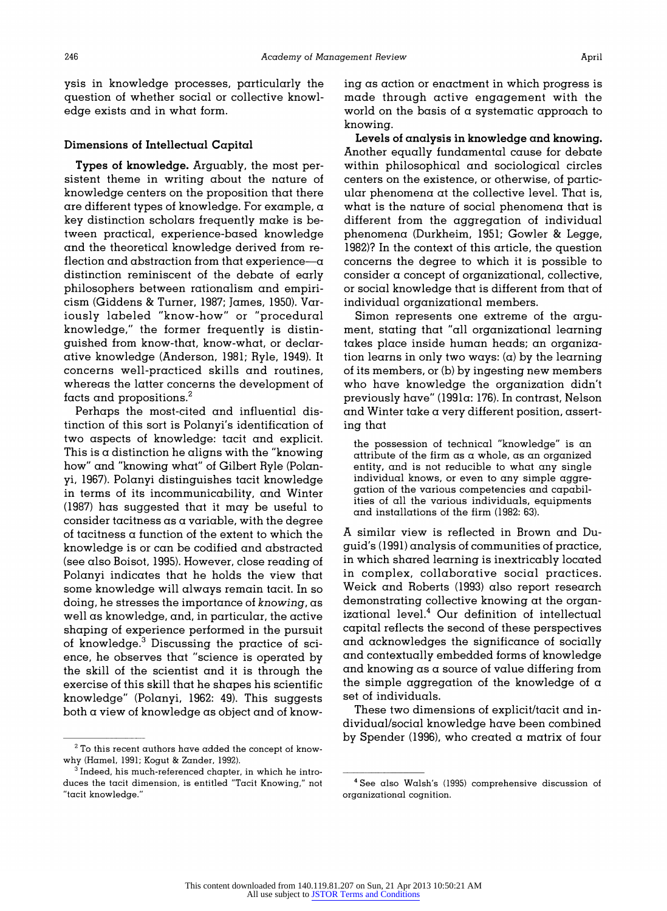**ysis in knowledge processes, particularly the question of whether social or collective knowledge exists and in what form.** 

### **Dimensions of Intellectual Capital**

**Types of knowledge. Arguably, the most persistent theme in writing about the nature of knowledge centers on the proposition that there are different types of knowledge. For example, a key distinction scholars frequently make is between practical, experience-based knowledge and the theoretical knowledge derived from reflection and abstraction from that experience-a distinction reminiscent of the debate of early philosophers between rationalism and empiricism (Giddens & Turner, 1987; James, 1950). Variously labeled "know-how" or "procedural knowledge," the former frequently is distinguished from know-that, know-what, or declarative knowledge (Anderson, 1981; Ryle, 1949). It concerns well-practiced skills and routines, whereas the latter concerns the development of facts and propositions.2** 

**Perhaps the most-cited and influential distinction of this sort is Polanyi's identification of two aspects of knowledge: tacit and explicit. This is a distinction he aligns with the "knowing how" and "knowing what" of Gilbert Ryle (Polanyi, 1967). Polanyi distinguishes tacit knowledge in terms of its incommunicability, and Winter (1987) has suggested that it may be useful to consider tacitness as a variable, with the degree of tacitness a function of the extent to which the knowledge is or can be codified and abstracted (see also Boisot, 1995). However, close reading of Polanyi indicates that he holds the view that some knowledge will always remain tacit. In so doing, he stresses the importance of knowing, as well as knowledge, and, in particular, the active shaping of experience performed in the pursuit of knowledge.3 Discussing the practice of science, he observes that "science is operated by the skill of the scientist and it is through the exercise of this skill that he shapes his scientific knowledge" (Polanyi, 1962: 49). This suggests both a view of knowledge as object and of know-** **ing as action or enactment in which progress is made through active engagement with the world on the basis of a systematic approach to knowing.** 

**Levels of analysis in knowledge and knowing. Another equally fundamental cause for debate within philosophical and sociological circles centers on the existence, or otherwise, of particular phenomena at the collective level. That is, what is the nature of social phenomena that is different from the aggregation of individual phenomena (Durkheim, 1951; Gowler & Legge, 1982)? In the context of this article, the question concerns the degree to which it is possible to consider a concept of organizational, collective, or social knowledge that is different from that of individual organizational members.** 

**Simon represents one extreme of the argument, stating that "all organizational learning takes place inside human heads; an organization learns in only two ways: (a) by the learning of its members, or (b) by ingesting new members who have knowledge the organization didn't previously have" (1991a: 176). In contrast, Nelson and Winter take a very different position, asserting that** 

**the possession of technical "knowledge" is an attribute of the firm as a whole, as an organized entity, and is not reducible to what any single individual knows, or even to any simple aggregation of the various competencies and capabilities of all the various individuals, equipments and installations of the firm (1982: 63).** 

**A similar view is reflected in Brown and Duguid's (1991) analysis of communities of practice, in which shared learning is inextricably located in complex, collaborative social practices. Weick and Roberts (1993) also report research demonstrating collective knowing at the organizational level.4 Our definition of intellectual capital reflects the second of these perspectives and acknowledges the significance of socially and contextually embedded forms of knowledge and knowing as a source of value differing from the simple aggregation of the knowledge of a set of individuals.** 

**These two dimensions of explicit/tacit and individual/social knowledge have been combined by Spender (1996), who created a matrix of four** 

**<sup>2</sup>To this recent authors have added the concept of knowwhy (Hamel, 1991; Kogut & Zander, 1992).** 

**<sup>&#</sup>x27;Indeed, his much-referenced chapter, in which he introduces the tacit dimension, is entitled "Tacit Knowing," not "tacit knowledge."** 

**<sup>4</sup> See also Walsh's (1995) comprehensive discussion of organizational cognition.**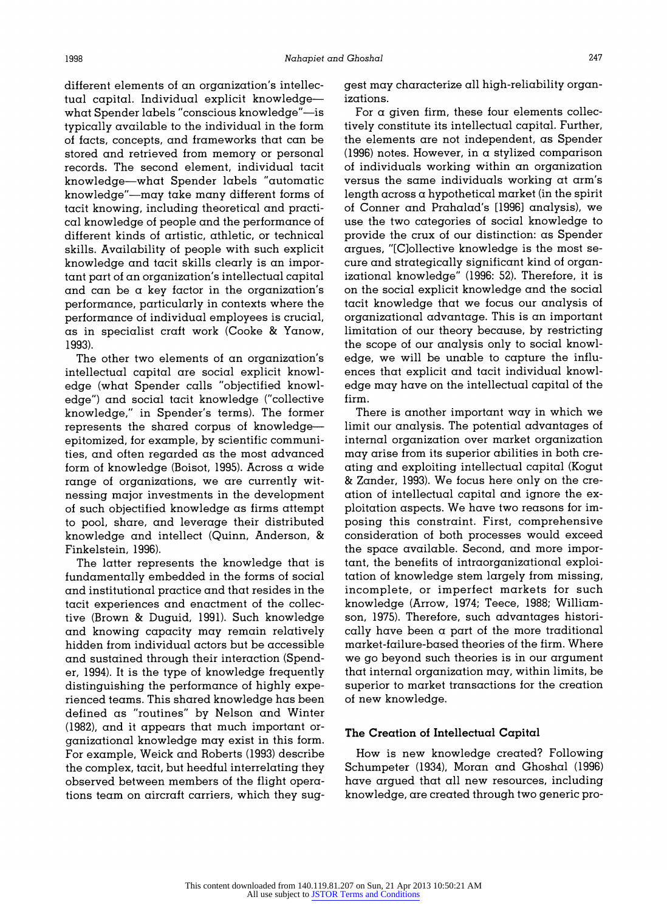**different elements of an organization's intellectual capital. Individual explicit knowledgewhat Spender labels "conscious knowledge"-is typically available to the individual in the form of facts, concepts, and frameworks that can be stored and retrieved from memory or personal records. The second element, individual tacit knowledge-what Spender labels "automatic knowledge"-may take many different forms of tacit knowing, including theoretical and practical knowledge of people and the performance of different kinds of artistic, athletic, or technical skills. Availability of people with such explicit knowledge and tacit skills clearly is an important part of an organization's intellectual capital and can be a key factor in the organization's performance, particularly in contexts where the performance of individual employees is crucial, as in specialist craft work (Cooke & Yanow, 1993).** 

**The other two elements of an organization's intellectual capital are social explicit knowledge (what Spender calls "objectified knowledge") and social tacit knowledge ("collective knowledge," in Spender's terms). The former represents the shared corpus of knowledgeepitomized, for example, by scientific communities, and often regarded as the most advanced form of knowledge (Boisot, 1995). Across a wide range of organizations, we are currently witnessing major investments in the development of such objectified knowledge as firms attempt to pool, share, and leverage their distributed knowledge and intellect (Quinn, Anderson, & Finkelstein, 1996).** 

**The latter represents the knowledge that is fundamentally embedded in the forms of social and institutional practice and that resides in the tacit experiences and enactment of the collective (Brown & Duguid, 1991). Such knowledge and knowing capacity may remain relatively hidden from individual actors but be accessible and sustained through their interaction (Spender, 1994). It is the type of knowledge frequently distinguishing the performance of highly experienced teams. This shared knowledge has been defined as "routines" by Nelson and Winter (1982), and it appears that much important organizational knowledge may exist in this form. For example, Weick and Roberts (1993) describe the complex, tacit, but heedful interrelating they observed between members of the flight operations team on aircraft carriers, which they sug-**

**gest may characterize all high-reliability organizations.** 

**For a given firm, these four elements collectively constitute its intellectual capital. Further, the elements are not independent, as Spender (1996) notes. However, in a stylized comparison of individuals working within an organization versus the same individuals working at arm's length across a hypothetical market (in the spirit of Conner and Prahalad's [1996] analysis), we use the two categories of social knowledge to provide the crux of our distinction: as Spender argues, "[C]ollective knowledge is the most secure and strategically significant kind of organizational knowledge" (1996: 52). Therefore, it is on the social explicit knowledge and the social tacit knowledge that we focus our analysis of organizational advantage. This is an important limitation of our theory because, by restricting the scope of our analysis only to social knowledge, we will be unable to capture the influences that explicit and tacit individual knowledge may have on the intellectual capital of the firm.** 

**There is another important way in which we limit our analysis. The potential advantages of internal organization over market organization may arise from its superior abilities in both creating and exploiting intellectual capital (Kogut & Zander, 1993). We focus here only on the creation of intellectual capital and ignore the exploitation aspects. We have two reasons for imposing this constraint. First, comprehensive consideration of both processes would exceed the space available. Second, and more important, the benefits of intraorganizational exploitation of knowledge stem largely from missing, incomplete, or imperfect markets for such knowledge (Arrow, 1974; Teece, 1988; Williamson, 1975). Therefore, such advantages historically have been a part of the more traditional market-failure-based theories of the firm. Where we go beyond such theories is in our argument that internal organization may, within limits, be superior to market transactions for the creation of new knowledge.** 

#### **The Creation of Intellectual Capital**

**How is new knowledge created? Following Schumpeter (1934), Moran and Ghoshal (1996) have argued that all new resources, including knowledge, are created through two generic pro-**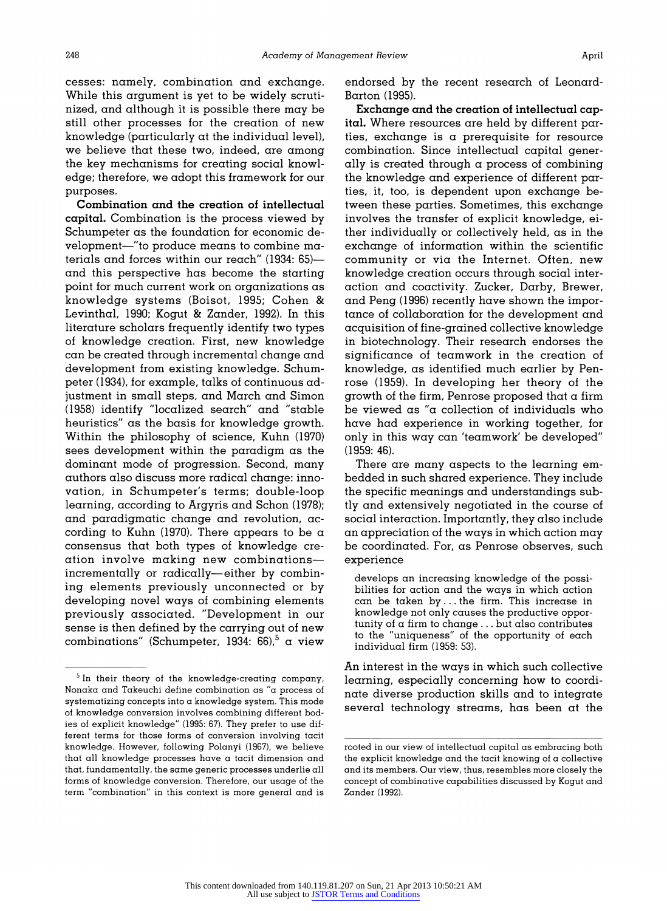**cesses: namely, combination and exchange. While this argument is yet to be widely scrutinized, and although it is possible there may be still other processes for the creation of new knowledge (particularly at the individual level), we believe that these two, indeed, are among the key mechanisms for creating social knowledge; therefore, we adopt this framework for our purposes.** 

**Combination and the creation of intellectual capital. Combination is the process viewed by Schumpeter as the foundation for economic development-"to produce means to combine materials and forces within our reach" (1934: 65) and this perspective has become the starting point for much current work on organizations as knowledge systems (Boisot, 1995; Cohen & Levinthal, 1990; Kogut & Zander, 1992). In this literature scholars frequently identify two types of knowledge creation. First, new knowledge can be created through incremental change and development from existing knowledge. Schumpeter (1934), for example, talks of continuous adjustment in small steps, and March and Simon (1958) identify "localized search" and "stable heuristics" as the basis for knowledge growth. Within the philosophy of science, Kuhn (1970) sees development within the paradigm as the dominant mode of progression. Second, many authors also discuss more radical change: innovation, in Schumpeter's terms; double-loop learning, according to Argyris and Schon (1978); and paradigmatic change and revolution, according to Kuhn (1970). There appears to be a consensus that both types of knowledge creation involve making new combinationsincrementally or radically-either by combining elements previously unconnected or by developing novel ways of combining elements previously associated. "Development in our sense is then defined by the carrying out of new combinations" (Schumpeter, 1934: 66),5 a view** 

**endorsed by the recent research of Leonard-Barton (1995).** 

**Exchange and the creation of intellectual capital. Where resources are held by different parties, exchange is a prerequisite for resource combination. Since intellectual capital generally is created through a process of combining the knowledge and experience of different parties, it, too, is dependent upon exchange between these parties. Sometimes, this exchange involves the transfer of explicit knowledge, either individually or collectively held, as in the exchange of information within the scientific community or via the Internet. Often, new knowledge creation occurs through social interaction and coactivity. Zucker, Darby, Brewer, and Peng (1996) recently have shown the importance of collaboration for the development and acquisition of fine-grained collective knowledge in biotechnology. Their research endorses the significance of teamwork in the creation of knowledge, as identified much earlier by Penrose (1959). In developing her theory of the growth of the firm, Penrose proposed that a firm be viewed as "a collection of individuals who have had experience in working together, for only in this way can 'teamwork' be developed" (1959: 46).** 

**There are many aspects to the learning embedded in such shared experience. They include the specific meanings and understandings subtly and extensively negotiated in the course of social interaction. Importantly, they also include an appreciation of the ways in which action may be coordinated. For, as Penrose observes, such experience** 

**develops an increasing knowledge of the possibilities for action and the ways in which action can be taken by ... the firm. This increase in knowledge not only causes the productive opportunity of a firm to change ... but also contributes to the "uniqueness" of the opportunity of each individual firm (1959: 53).** 

**An interest in the ways in which such collective learning, especially concerning how to coordinate diverse production skills and to integrate several technology streams, has been at the** 

**<sup>&#</sup>x27;In their theory of the knowledge-creating company, Nonaka and Takeuchi define combination as "a process of systematizing concepts into a knowledge system. This mode of knowledge conversion involves combining different bodies of explicit knowledge" (1995: 67). They prefer to use different terms for those forms of conversion involving tacit knowledge. However, following Polanyi (1967), we believe that all knowledge processes have a tacit dimension and that, fundamentally, the same generic processes underlie all forms of knowledge conversion. Therefore, our usage of the term "combination" in this context is more general and is** 

**rooted in our view of intellectual capital as embracing both the explicit knowledge and the tacit knowing of a collective and its members. Our view, thus, resembles more closely the concept of combinative capabilities discussed by Kogut and Zander (1992).**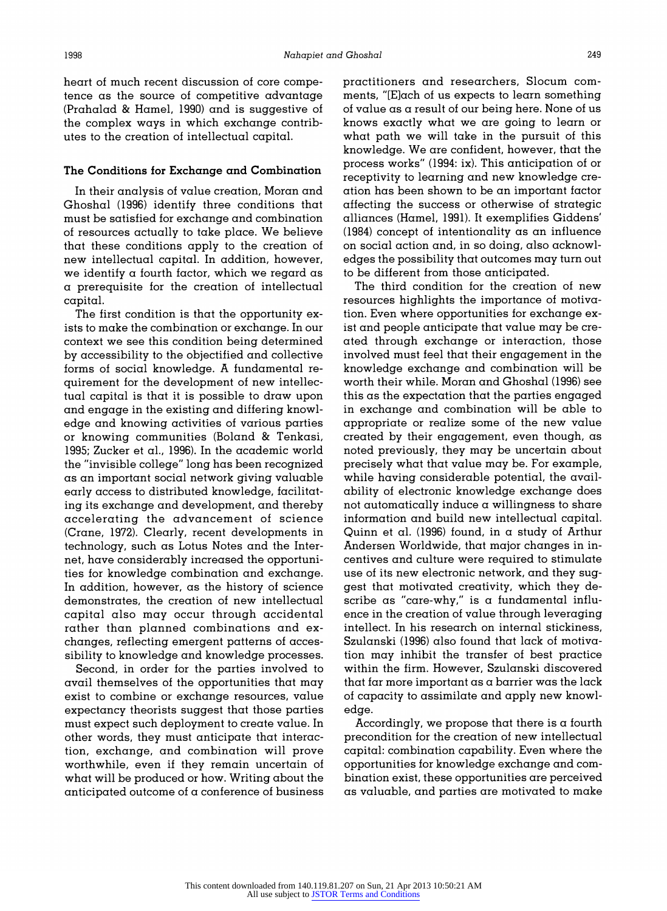**heart of much recent discussion of core competence as the source of competitive advantage (Prahalad & Hamel, 1990) and is suggestive of the complex ways in which exchange contributes to the creation of intellectual capital.** 

#### **The Conditions for Exchange and Combination**

**In their analysis of value creation, Moran and Ghoshal (1996) identify three conditions that must be satisfied for exchange and combination of resources actually to take place. We believe that these conditions apply to the creation of new intellectual capital. In addition, however, we identify a fourth factor, which we regard as a prerequisite for the creation of intellectual capital.** 

**The first condition is that the opportunity exists to make the combination or exchange. In our context we see this condition being determined by accessibility to the objectified and collective forms of social knowledge. A fundamental requirement for the development of new intellectual capital is that it is possible to draw upon and engage in the existing and differing knowledge and knowing activities of various parties or knowing communities (Boland & Tenkasi, 1995; Zucker et al., 1996). In the academic world the "invisible college" long has been recognized as an important social network giving valuable early access to distributed knowledge, facilitating its exchange and development, and thereby accelerating the advancement of science (Crane, 1972). Clearly, recent developments in technology, such as Lotus Notes and the Internet, have considerably increased the opportunities for knowledge combination and exchange. In addition, however, as the history of science demonstrates, the creation of new intellectual capital also may occur through accidental rather than planned combinations and exchanges, reflecting emergent patterns of accessibility to knowledge and knowledge processes.** 

**Second, in order for the parties involved to avail themselves of the opportunities that may exist to combine or exchange resources, value expectancy theorists suggest that those parties must expect such deployment to create value. In other words, they must anticipate that interaction, exchange, and combination will prove worthwhile, even if they remain uncertain of what will be produced or how. Writing about the anticipated outcome of a conference of business**  **practitioners and researchers, Slocum comments, "[E]ach of us expects to learn something of value as a result of our being here. None of us knows exactly what we are going to learn or what path we will take in the pursuit of this knowledge. We are confident, however, that the process works" (1994: ix). This anticipation of or receptivity to learning and new knowledge creation has been shown to be an important factor affecting the success or otherwise of strategic alliances (Hamel, 1991). It exemplifies Giddens' (1984) concept of intentionality as an influence on social action and, in so doing, also acknowledges the possibility that outcomes may turn out to be different from those anticipated.** 

**The third condition for the creation of new resources highlights the importance of motivation. Even where opportunities for exchange exist and people anticipate that value may be created through exchange or interaction, those involved must feel that their engagement in the knowledge exchange and combination will be worth their while. Moran and Ghoshal (1996) see this as the expectation that the parties engaged in exchange and combination will be able to appropriate or realize some of the new value created by their engagement, even though, as noted previously, they may be uncertain about precisely what that value may be. For example, while having considerable potential, the availability of electronic knowledge exchange does not automatically induce a willingness to share information and build new intellectual capital. Quinn et al. (1996) found, in a study of Arthur Andersen Worldwide, that major changes in incentives and culture were required to stimulate use of its new electronic network, and they suggest that motivated creativity, which they describe as "care-why," is a fundamental influence in the creation of value through leveraging intellect. In his research on internal stickiness, Szulanski (1996) also found that lack of motivation may inhibit the transfer of best practice within the firm. However, Szulanski discovered that far more important as a barrier was the lack of capacity to assimilate and apply new knowledge.** 

**Accordingly, we propose that there is a fourth precondition for the creation of new intellectual capital: combination capability. Even where the opportunities for knowledge exchange and combination exist, these opportunities are perceived as valuable, and parties are motivated to make**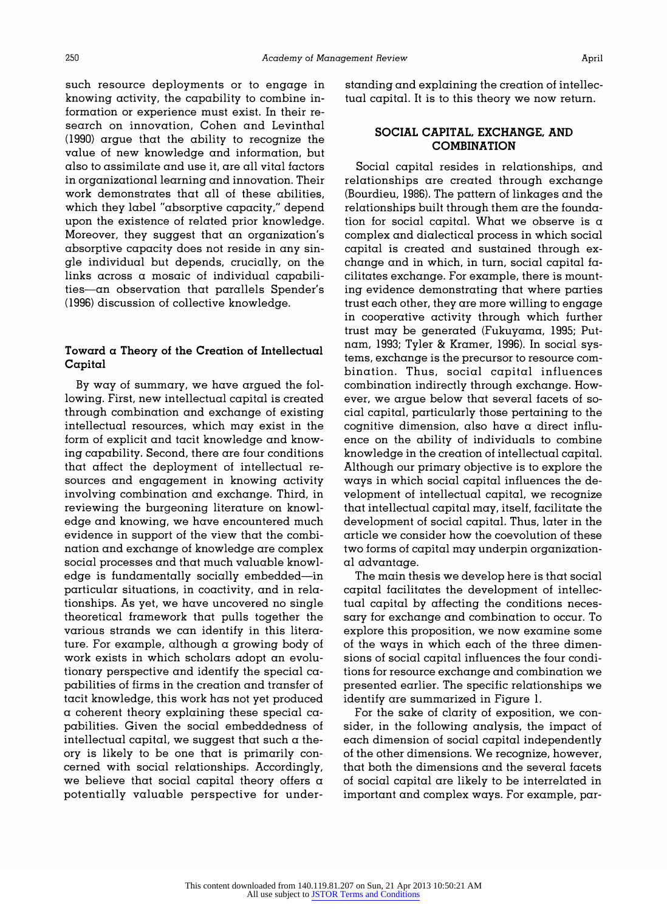**such resource deployments or to engage in knowing activity, the capability to combine information or experience must exist. In their research on innovation, Cohen and Levinthal (1990) argue that the ability to recognize the value of new knowledge and information, but also to assimilate and use it, are all vital factors in organizational learning and innovation. Their work demonstrates that all of these abilities, which they label "absorptive capacity," depend upon the existence of related prior knowledge. Moreover, they suggest that an organization's absorptive capacity does not reside in any single individual but depends, crucially, on the links across a mosaic of individual capabilities-an observation that parallels Spender's (1996) discussion of collective knowledge.** 

## **Toward a Theory of the Creation of Intellectual Capital**

**By way of summary, we have argued the following. First, new intellectual capital is created through combination and exchange of existing intellectual resources, which may exist in the form of explicit and tacit knowledge and knowing capability. Second, there are four conditions that affect the deployment of intellectual resources and engagement in knowing activity involving combination and exchange. Third, in reviewing the burgeoning literature on knowledge and knowing, we have encountered much evidence in support of the view that the combination and exchange of knowledge are complex social processes and that much valuable knowledge is fundamentally socially embedded-in particular situations, in coactivity, and in relationships. As yet, we have uncovered no single theoretical framework that pulls together the various strands we can identify in this literature. For example, although a growing body of work exists in which scholars adopt an evolutionary perspective and identify the special capabilities of firms in the creation and transfer of tacit knowledge, this work has not yet produced a coherent theory explaining these special capabilities. Given the social embeddedness of intellectual capital, we suggest that such a theory is likely to be one that is primarily concerned with social relationships. Accordingly, we believe that social capital theory offers a potentially valuable perspective for under-** **standing and explaining the creation of intellectual capital. It is to this theory we now return.** 

# **SOCIAL CAPITAL, EXCHANGE, AND COMBINATION**

**Social capital resides in relationships, and relationships are created through exchange (Bourdieu, 1986). The pattern of linkages and the relationships built through them are the foundation for social capital. What we observe is a complex and dialectical process in which social capital is created and sustained through exchange and in which, in turn, social capital facilitates exchange. For example, there is mounting evidence demonstrating that where parties trust each other, they are more willing to engage in cooperative activity through which further trust may be generated (Fukuyama, 1995; Putnam, 1993; Tyler & Kramer, 1996). In social systems, exchange is the precursor to resource combination. Thus, social capital influences combination indirectly through exchange. However, we argue below that several facets of social capital, particularly those pertaining to the cognitive dimension, also have a direct influence on the ability of individuals to combine knowledge in the creation of intellectual capital. Although our primary objective is to explore the ways in which social capital influences the development of intellectual capital, we recognize that intellectual capital may, itself, facilitate the development of social capital. Thus, later in the article we consider how the coevolution of these two forms of capital may underpin organizational advantage.** 

**The main thesis we develop here is that social capital facilitates the development of intellectual capital by affecting the conditions necessary for exchange and combination to occur. To explore this proposition, we now examine some of the ways in which each of the three dimensions of social capital influences the four conditions for resource exchange and combination we presented earlier. The specific relationships we identify are summarized in Figure 1.** 

**For the sake of clarity of exposition, we consider, in the following analysis, the impact of each dimension of social capital independently of the other dimensions. We recognize, however, that both the dimensions and the several facets of social capital are likely to be interrelated in important and complex ways. For example, par-**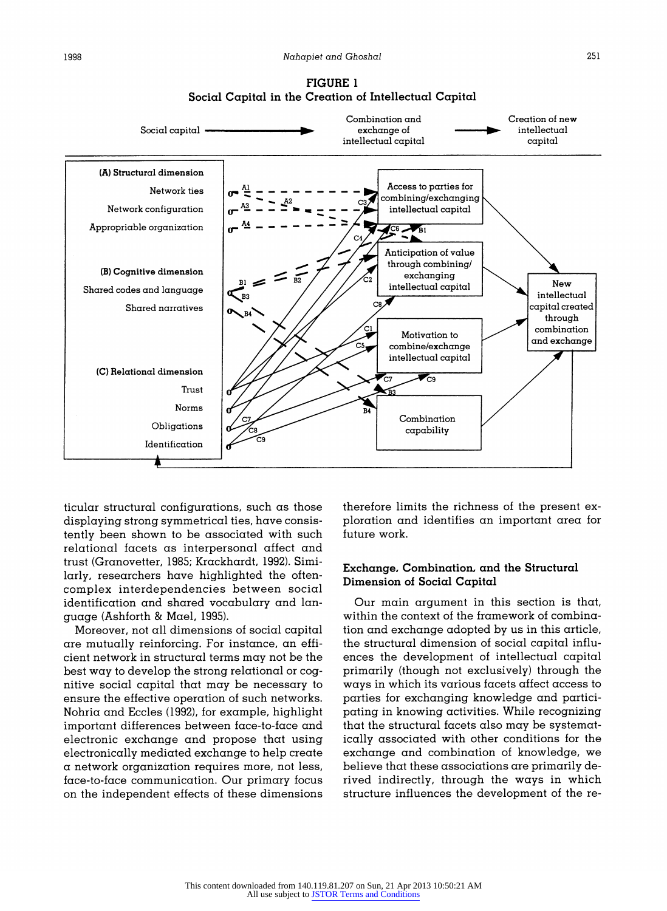

**FIGURE 1 Social Capital in the Creation of Intellectual Capital** 

**ticular structural configurations, such as those displaying strong symmetrical ties, have consistently been shown to be associated with such relational facets as interpersonal affect and trust (Granovetter, 1985; Krackhardt, 1992). Similarly, researchers have highlighted the oftencomplex interdependencies between social identification and shared vocabulary and language (Ashforth & Mael, 1995).** 

**Moreover, not all dimensions of social capital are mutually reinforcing. For instance, an efficient network in structural terms may not be the best way to develop the strong relational or cognitive social capital that may be necessary to ensure the effective operation of such networks. Nohria and Eccles (1992), for example, highlight important differences between face-to-face and electronic exchange and propose that using electronically mediated exchange to help create a network organization requires more, not less, face-to-face communication. Our primary focus on the independent effects of these dimensions** 

**therefore limits the richness of the present exploration and identifies an important area for future work.** 

## **Exchange, Combination, and the Structural Dimension of Social Capital**

**Our main argument in this section is that, within the context of the framework of combination and exchange adopted by us in this article, the structural dimension of social capital influences the development of intellectual capital primarily (though not exclusively) through the ways in which its various facets affect access to parties for exchanging knowledge and participating in knowing activities. While recognizing that the structural facets also may be systematically associated with other conditions for the exchange and combination of knowledge, we believe that these associations are primarily derived indirectly, through the ways in which structure influences the development of the re-**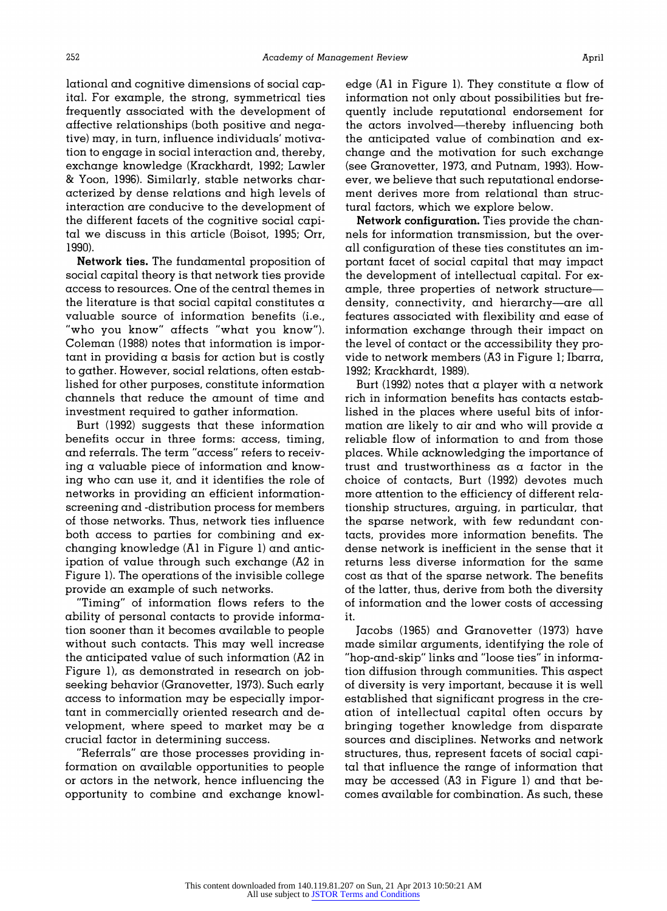lational and cognitive dimensions of social cap**ital. For example, the strong, symmetrical ties frequently associated with the development of affective relationships (both positive and negative) may, in turn, influence individuals' motivation to engage in social interaction and, thereby, exchange knowledge (Krackhardt, 1992; Lawler & Yoon, 1996). Similarly, stable networks characterized by dense relations and high levels of interaction are conducive to the development of the different facets of the cognitive social capital we discuss in this article (Boisot, 1995; Orr, 1990).** 

**Network ties. The fundamental proposition of social capital theory is that network ties provide access to resources. One of the central themes in the literature is that social capital constitutes a valuable source of information benefits (i.e., "who you know" affects "what you know"). Coleman (1988) notes that information is important in providing a basis for action but is costly to gather. However, social relations, often established for other purposes, constitute information channels that reduce the amount of time and investment required to gather information.** 

**Burt (1992) suggests that these information benefits occur in three forms: access, timing, and referrals. The term "access" refers to receiving a valuable piece of information and knowing who can use it, and it identifies the role of networks in providing an efficient informationscreening and -distribution process for members of those networks. Thus, network ties influence both access to parties for combining and exchanging knowledge (Al in Figure 1) and anticipation of value through such exchange (A2 in Figure 1). The operations of the invisible college provide an example of such networks.** 

**"Timing" of information flows refers to the ability of personal contacts to provide information sooner than it becomes available to people without such contacts. This may well increase the anticipated value of such information (A2 in Figure 1), as demonstrated in research on jobseeking behavior (Granovetter, 1973). Such early access to information may be especially important in commercially oriented research and development, where speed to market may be a crucial factor in determining success.** 

**"Referrals" are those processes providing information on available opportunities to people or actors in the network, hence influencing the opportunity to combine and exchange knowl-**

**edge (Al in Figure 1). They constitute a flow of information not only about possibilities but frequently include reputational endorsement for the actors involved-thereby influencing both the anticipated value of combination and exchange and the motivation for such exchange (see Granovetter, 1973, and Putnam, 1993). However, we believe that such reputational endorsement derives more from relational than structural factors, which we explore below.** 

**Network configuration. Ties provide the channels for information transmission, but the overall configuration of these ties constitutes an important facet of social capital that may impact the development of intellectual capital. For example, three properties of network structuredensity, connectivity, and hierarchy-are all features associated with flexibility and ease of information exchange through their impact on the level of contact or the accessibility they provide to network members (A3 in Figure 1; Ibarra, 1992; Krackhardt, 1989).** 

**Burt (1992) notes that a player with a network rich in information benefits has contacts established in the places where useful bits of information are likely to air and who will provide a reliable flow of information to and from those places. While acknowledging the importance of trust and trustworthiness as a factor in the choice of contacts, Burt (1992) devotes much more attention to the efficiency of different relationship structures, arguing, in particular, that the sparse network, with few redundant contacts, provides more information benefits. The dense network is inefficient in the sense that it returns less diverse information for the same cost as that of the sparse network. The benefits of the latter, thus, derive from both the diversity of information and the lower costs of accessing it.** 

**Jacobs (1965) and Granovetter (1973) have made similar arguments, identifying the role of "hop-and-skip" links and "loose ties" in information diffusion through communities. This aspect of diversity is very important, because it is well established that significant progress in the creation of intellectual capital often occurs by bringing together knowledge from disparate sources and disciplines. Networks and network structures, thus, represent facets of social capital that influence the range of information that may be accessed (A3 in Figure 1) and that becomes available for combination. As such, these**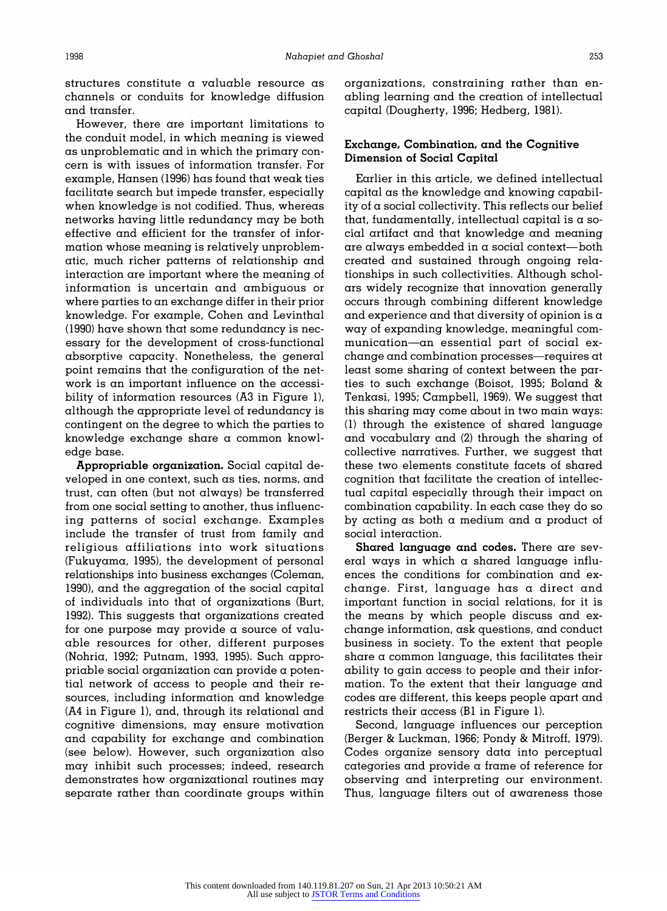**structures constitute a valuable resource as channels or conduits for knowledge diffusion and transfer.** 

**However, there are important limitations to the conduit model, in which meaning is viewed as unproblematic and in which the primary concern is with issues of information transfer. For example, Hansen (1996) has found that weak ties facilitate search but impede transfer, especially when knowledge is not codified. Thus, whereas networks having little redundancy may be both effective and efficient for the transfer of information whose meaning is relatively unproblematic, much richer patterns of relationship and interaction are important where the meaning of information is uncertain and ambiguous or where parties to an exchange differ in their prior knowledge. For example, Cohen and Levinthal (1990) have shown that some redundancy is necessary for the development of cross-functional absorptive capacity. Nonetheless, the general point remains that the configuration of the network is an important influence on the accessibility of information resources (A3 in Figure 1), although the appropriate level of redundancy is contingent on the degree to which the parties to knowledge exchange share a common knowledge base.** 

**Appropriable organization. Social capital developed in one context, such as ties, norms, and trust, can often (but not always) be transferred from one social setting to another, thus influencing patterns of social exchange. Examples include the transfer of trust from family and religious affiliations into work situations (Fukuyama, 1995), the development of personal relationships into business exchanges (Coleman, 1990), and the aggregation of the social capital of individuals into that of organizations (Burt, 1992). This suggests that organizations created for one purpose may provide a source of valuable resources for other, different purposes (Nohria, 1992; Putnam, 1993, 1995). Such appropriable social organization can provide a potential network of access to people and their resources, including information and knowledge (A4 in Figure 1), and, through its relational and cognitive dimensions, may ensure motivation and capability for exchange and combination (see below). However, such organization also may inhibit such processes; indeed, research demonstrates how organizational routines may separate rather than coordinate groups within** 

**organizations, constraining rather than enabling learning and the creation of intellectual capital (Dougherty, 1996; Hedberg, 1981).** 

# **Exchange, Combination, and the Cognitive Dimension of Social Capital**

**Earlier in this article, we defined intellectual capital as the knowledge and knowing capability of a social collectivity. This reflects our belief that, fundamentally, intellectual capital is a social artifact and that knowledge and meaning are always embedded in a social context-both created and sustained through ongoing relationships in such collectivities. Although scholars widely recognize that innovation generally occurs through combining different knowledge and experience and that diversity of opinion is a way of expanding knowledge, meaningful communication-an essential part of social exchange and combination processes-requires at least some sharing of context between the parties to such exchange (Boisot, 1995; Boland & Tenkasi, 1995; Campbell, 1969). We suggest that this sharing may come about in two main ways: (1) through the existence of shared language and vocabulary and (2) through the sharing of collective narratives. Further, we suggest that these two elements constitute facets of shared cognition that facilitate the creation of intellectual capital especially through their impact on combination capability. In each case they do so by acting as both a medium and a product of social interaction.** 

**Shared language and codes. There are several ways in which a shared language influences the conditions for combination and exchange. First, language has a direct and important function in social relations, for it is the means by which people discuss and exchange information, ask questions, and conduct business in society. To the extent that people share a common language, this facilitates their ability to gain access to people and their information. To the extent that their language and codes are different, this keeps people apart and restricts their access (Bi in Figure 1).** 

**Second, language influences our perception (Berger & Luckman, 1966; Pondy & Mitroff, 1979). Codes organize sensory data into perceptual categories and provide a frame of reference for observing and interpreting our environment. Thus, language filters out of awareness those**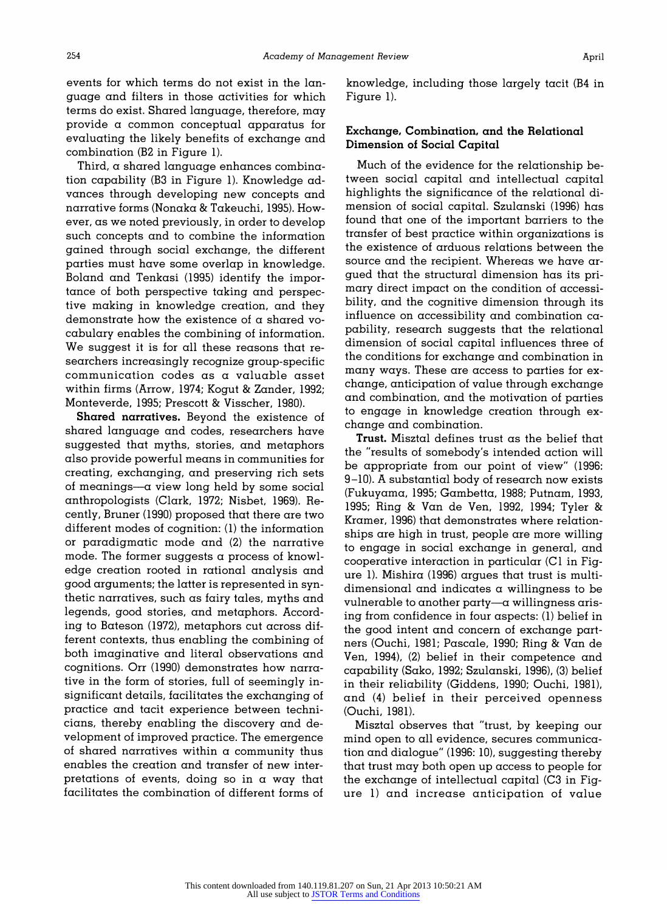**events for which terms do not exist in the language and filters in those activities for which terms do exist. Shared language, therefore, may provide a common conceptual apparatus for evaluating the likely benefits of exchange and combination (B2 in Figure 1).** 

**Third, a shared language enhances combination capability (B3 in Figure 1). Knowledge advances through developing new concepts and narrative forms (Nonaka & Takeuchi, 1995). However, as we noted previously, in order to develop such concepts and to combine the information gained through social exchange, the different parties must have some overlap in knowledge. Boland and Tenkasi (1995) identify the importance of both perspective taking and perspective making in knowledge creation, and they demonstrate how the existence of a shared vocabulary enables the combining of information. We suggest it is for all these reasons that researchers increasingly recognize group-specific communication codes as a valuable asset within firms (Arrow, 1974; Kogut & Zander, 1992; Monteverde, 1995; Prescott & Visscher, 1980).** 

**Shared narratives. Beyond the existence of shared language and codes, researchers have suggested that myths, stories, and metaphors also provide powerful means in communities for creating, exchanging, and preserving rich sets of meanings-a view long held by some social anthropologists (Clark, 1972; Nisbet, 1969). Recently, Bruner (1990) proposed that there are two different modes of cognition: (1) the information or paradigmatic mode and (2) the narrative mode. The former suggests a process of knowledge creation rooted in rational analysis and good arguments; the latter is represented in synthetic narratives, such as fairy tales, myths and legends, good stories, and metaphors. According to Bateson (1972), metaphors cut across different contexts, thus enabling the combining of both imaginative and literal observations and cognitions. Orr (1990) demonstrates how narrative in the form of stories, full of seemingly insignificant details, facilitates the exchanging of practice and tacit experience between technicians, thereby enabling the discovery and development of improved practice. The emergence of shared narratives within a community thus enables the creation and transfer of new interpretations of events, doing so in a way that facilitates the combination of different forms of** 

**knowledge, including those largely tacit (B4 in Figure 1).** 

# **Exchange, Combination, and the Relational Dimension of Social Capital**

**Much of the evidence for the relationship between social capital and intellectual capital highlights the significance of the relational dimension of social capital. Szulanski (1996) has found that one of the important barriers to the transfer of best practice within organizations is the existence of arduous relations between the source and the recipient. Whereas we have argued that the structural dimension has its primary direct impact on the condition of accessibility, and the cognitive dimension through its influence on accessibility and combination capability, research suggests that the relational dimension of social capital influences three of the conditions for exchange and combination in many ways. These are access to parties for exchange, anticipation of value through exchange and combination, and the motivation of parties to engage in knowledge creation through exchange and combination.** 

**Trust. Misztal defines trust as the belief that the "results of somebody's intended action will be appropriate from our point of view" (1996: 9-10). A substantial body of research now exists (Fukuyama, 1995; Gambetta, 1988; Putnam, 1993, 1995; Ring & Van de Ven, 1992, 1994; Tyler & Kramer, 1996) that demonstrates where relationships are high in trust, people are more willing to engage in social exchange in general, and cooperative interaction in particular (Cl in Figure 1). Mishira (1996) argues that trust is multidimensional and indicates a willingness to be vulnerable to another party-a willingness arising from confidence in four aspects: (1) belief in the good intent and concern of exchange partners (Ouchi, 1981; Pascale, 1990; Ring & Van de Ven, 1994), (2) belief in their competence and capability (Sako, 1992; Szulanski, 1996), (3) belief in their reliability (Giddens, 1990; Ouchi, 1981), and (4) belief in their perceived openness (Ouchi, 1981).** 

**Misztal observes that "trust, by keeping our mind open to all evidence, secures communication and dialogue" (1996: 10), suggesting thereby that trust may both open up access to people for the exchange of intellectual capital (C3 in Figure 1) and increase anticipation of value**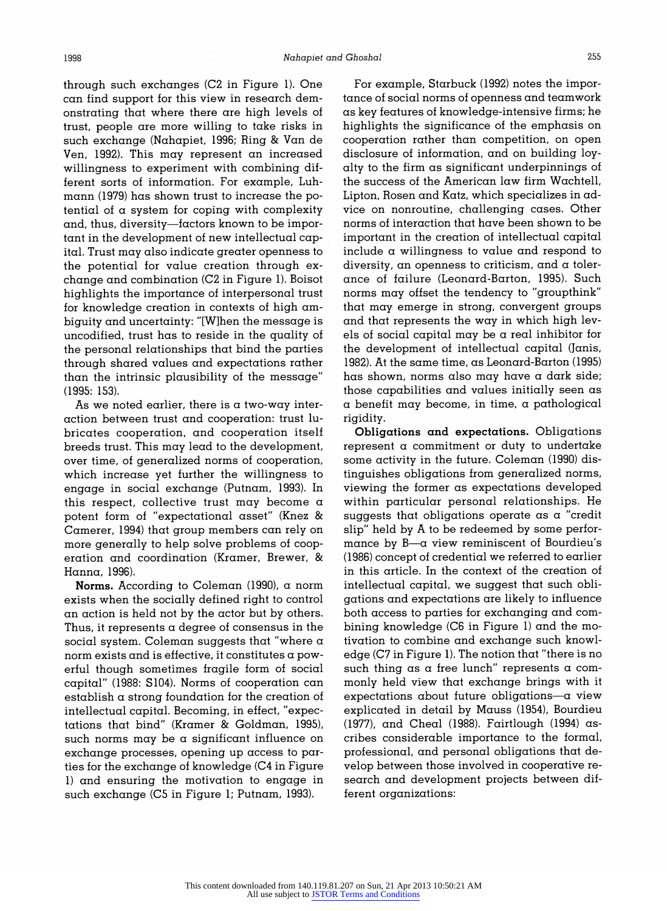**through such exchanges (C2 in Figure 1). One can find support for this view in research demonstrating that where there are high levels of trust, people are more willing to take risks in such exchange (Nahapiet, 1996; Ring & Van de Ven, 1992). This may represent an increased willingness to experiment with combining different sorts of information. For example, Luhmann (1979) has shown trust to increase the potential of a system for coping with complexity**  and, thus, diversity—factors known to be impor**tant in the development of new intellectual capital. Trust may also indicate greater openness to the potential for value creation through exchange and combination (C2 in Figure 1). Boisot highlights the importance of interpersonal trust for knowledge creation in contexts of high ambiguity and uncertainty: "[W]hen the message is uncodified, trust has to reside in the quality of the personal relationships that bind the parties through shared values and expectations rather than the intrinsic plausibility of the message" (1995: 153).** 

**As we noted earlier, there is a two-way interaction between trust and cooperation: trust lubricates cooperation, and cooperation itself breeds trust. This may lead to the development, over time, of generalized norms of cooperation, which increase yet further the willingness to engage in social exchange (Putnam, 1993). In this respect, collective trust may become a potent form of "expectational asset" (Knez & Camerer, 1994) that group members can rely on more generally to help solve problems of cooperation and coordination (Kramer, Brewer, & Hanna, 1996).** 

**Norms. According to Coleman (1990), a norm exists when the socially defined right to control an action is held not by the actor but by others. Thus, it represents a degree of consensus in the social system. Coleman suggests that "where a norm exists and is effective, it constitutes a powerful though sometimes fragile form of social capital" (1988: S104). Norms of cooperation can establish a strong foundation for the creation of intellectual capital. Becoming, in effect, "expectations that bind" (Kramer & Goldman, 1995), such norms may be a significant influence on exchange processes, opening up access to parties for the exchange of knowledge (C4 in Figure 1) and ensuring the motivation to engage in such exchange (C5 in Figure 1; Putnam, 1993).** 

**For example, Starbuck (1992) notes the importance of social norms of openness and teamwork as key features of knowledge-intensive firms; he highlights the significance of the emphasis on cooperation rather than competition, on open disclosure of information, and on building loyalty to the firm as significant underpinnings of the success of the American law firm Wachtell, Lipton, Rosen and Katz, which specializes in advice on nonroutine, challenging cases. Other norms of interaction that have been shown to be important in the creation of intellectual capital include a willingness to value and respond to diversity, an openness to criticism, and a tolerance of failure (Leonard-Barton, 1995). Such norms may offset the tendency to "groupthink" that may emerge in strong, convergent groups and that represents the way in which high levels of social capital may be a real inhibitor for the development of intellectual capital (Janis, 1982). At the same time, as Leonard-Barton (1995) has shown, norms also may have a dark side; those capabilities and values initially seen as a benefit may become, in time, a pathological rigidity.** 

**Obligations and expectations. Obligations represent a commitment or duty to undertake some activity in the future. Coleman (1990) distinguishes obligations from generalized norms, viewing the former as expectations developed within particular personal relationships. He suggests that obligations operate as a "credit slip" held by A to be redeemed by some perfor**mance by B-a view reminiscent of Bourdieu's **(1986) concept of credential we referred to earlier in this article. In the context of the creation of intellectual capital, we suggest that such obligations and expectations are likely to influence both access to parties for exchanging and combining knowledge (C6 in Figure 1) and the motivation to combine and exchange such knowledge (C7 in Figure 1). The notion that "there is no such thing as a free lunch" represents a commonly held view that exchange brings with it expectations about future obligations-a view explicated in detail by Mauss (1954), Bourdieu (1977), and Cheal (1988). Fairtlough (1994) ascribes considerable importance to the formal, professional, and personal obligations that develop between those involved in cooperative research and development projects between different organizations:**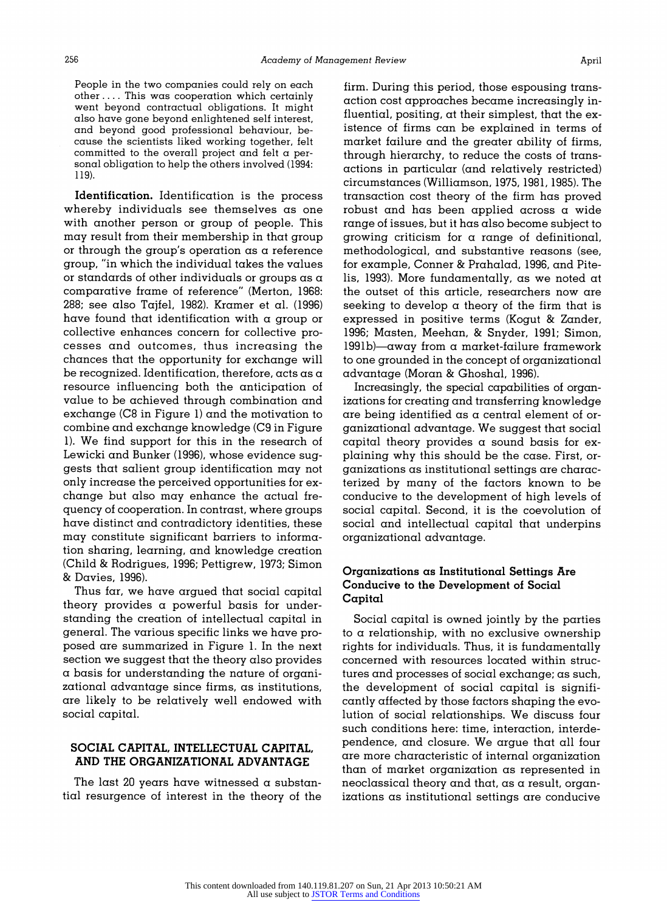**People in the two companies could rely on each other.... This was cooperation which certainly went beyond contractual obligations. It might also have gone beyond enlightened self interest, and beyond good professional behaviour, because the scientists liked working together, felt committed to the overall project and felt a personal obligation to help the others involved (1994: 119).** 

**Identification. Identification is the process whereby individuals see themselves as one with another person or group of people. This may result from their membership in that group or through the group's operation as a reference group, "in which the individual takes the values or standards of other individuals or groups as a comparative frame of reference" (Merton, 1968: 288; see also Tajfel, 1982). Kramer et al. (1996) have found that identification with a group or collective enhances concern for collective processes and outcomes, thus increasing the chances that the opportunity for exchange will be recognized. Identification, therefore, acts as a resource influencing both the anticipation of value to be achieved through combination and exchange (C8 in Figure 1) and the motivation to combine and exchange knowledge (C9 in Figure 1). We find support for this in the research of Lewicki and Bunker (1996), whose evidence suggests that salient group identification may not only increase the perceived opportunities for exchange but also may enhance the actual frequency of cooperation. In contrast, where groups have distinct and contradictory identities, these may constitute significant barriers to information sharing, learning, and knowledge creation (Child & Rodrigues, 1996; Pettigrew, 1973; Simon & Davies, 1996).** 

**Thus far, we have argued that social capital theory provides a powerful basis for understanding the creation of intellectual capital in general. The various specific links we have proposed are summarized in Figure 1. In the next section we suggest that the theory also provides a basis for understanding the nature of organizational advantage since firms, as institutions, are likely to be relatively well endowed with social capital.** 

# **SOCIAL CAPITAL, INTELLECTUAL CAPITAL, AND THE ORGANIZATIONAL ADVANTAGE**

**The last 20 years have witnessed a substantial resurgence of interest in the theory of the**  **firm. During this period, those espousing transaction cost approaches became increasingly influential, positing, at their simplest, that the existence of firms can be explained in terms of market failure and the greater ability of firms, through hierarchy, to reduce the costs of transactions in particular (and relatively restricted) circumstances (Williamson, 1975, 1981, 1985). The transaction cost theory of the firm has proved robust and has been applied across a wide range of issues, but it has also become subject to growing criticism for a range of definitional, methodological, and substantive reasons (see, for example, Conner & Prahalad, 1996, and Pitelis, 1993). More fundamentally, as we noted at the outset of this article, researchers now are seeking to develop a theory of the firm that is expressed in positive terms (Kogut & Zander, 1996; Masten, Meehan, & Snyder, 1991; Simon, 1991b)-away from a market-failure framework to one grounded in the concept of organizational advantage (Moran & Ghoshal, 1996).** 

**Increasingly, the special capabilities of organizations for creating and transferring knowledge are being identified as a central element of organizational advantage. We suggest that social capital theory provides a sound basis for explaining why this should be the case. First, organizations as institutional settings are characterized by many of the factors known to be conducive to the development of high levels of social capital. Second, it is the coevolution of social and intellectual capital that underpins organizational advantage.** 

## **Organizations as Institutional Settings Are Conducive to the Development of Social Capital**

**Social capital is owned jointly by the parties to a relationship, with no exclusive ownership rights for individuals. Thus, it is fundamentally concerned with resources located within structures and processes of social exchange; as such, the development of social capital is significantly affected by those factors shaping the evolution of social relationships. We discuss four such conditions here: time, interaction, interdependence, and closure. We argue that all four are more characteristic of internal organization than of market organization as represented in neoclassical theory and that, as a result, organizations as institutional settings are conducive**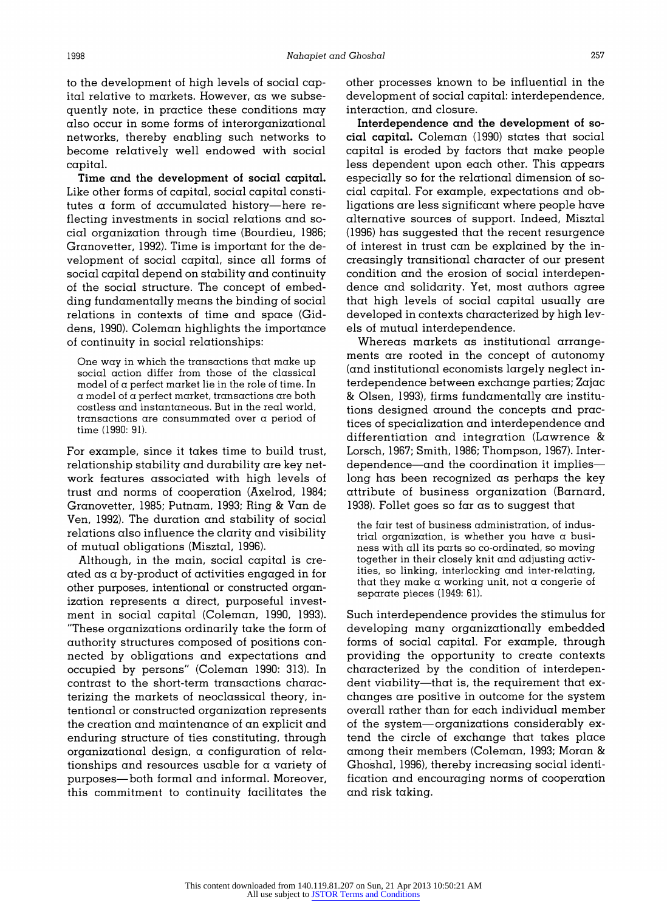**to the development of high levels of social capital relative to markets. However, as we subsequently note, in practice these conditions may also occur in some forms of interorganizational networks, thereby enabling such networks to become relatively well endowed with social capital.** 

**Time and the development of social capital. Like other forms of capital, social capital constitutes a form of accumulated history-here reflecting investments in social relations and social organization through time (Bourdieu, 1986; Granovetter, 1992). Time is important for the development of social capital, since all forms of social capital depend on stability and continuity of the social structure. The concept of embedding fundamentally means the binding of social relations in contexts of time and space (Giddens, 1990). Coleman highlights the importance of continuity in social relationships:** 

**One way in which the transactions that make up social action differ from those of the classical model of a perfect market lie in the role of time. In a model of a perfect market, transactions are both costless and instantaneous. But in the real world, transactions are consummated over a period of time (1990: 91).** 

**For example, since it takes time to build trust, relationship stability and durability are key network features associated with high levels of trust and norms of cooperation (Axelrod, 1984; Granovetter, 1985; Putnam, 1993; Ring & Van de Ven, 1992). The duration and stability of social relations also influence the clarity and visibility of mutual obligations (Misztal, 1996).** 

**Although, in the main, social capital is created as a by-product of activities engaged in for other purposes, intentional or constructed organization represents a direct, purposeful investment in social capital (Coleman, 1990, 1993). "These organizations ordinarily take the form of authority structures composed of positions connected by obligations and expectations and occupied by persons" (Coleman 1990: 313). In contrast to the short-term transactions characterizing the markets of neoclassical theory, intentional or constructed organization represents the creation and maintenance of an explicit and enduring structure of ties constituting, through organizational design, a configuration of relationships and resources usable for a variety of purposes-both formal and informal. Moreover, this commitment to continuity facilitates the** 

**other processes known to be influential in the development of social capital: interdependence, interaction, and closure.** 

**Interdependence and the development of social capital. Coleman (1990) states that social capital is eroded by factors that make people less dependent upon each other. This appears especially so for the relational dimension of social capital. For example, expectations and obligations are less significant where people have alternative sources of support. Indeed, Misztal (1996) has suggested that the recent resurgence of interest in trust can be explained by the increasingly transitional character of our present condition and the erosion of social interdependence and solidarity. Yet, most authors agree that high levels of social capital usually are developed in contexts characterized by high levels of mutual interdependence.** 

**Whereas markets as institutional arrangements are rooted in the concept of autonomy (and institutional economists largely neglect interdependence between exchange parties; Zajac & Olsen, 1993), firms fundamentally are institutions designed around the concepts and practices of specialization and interdependence and differentiation and integration (Lawrence & Lorsch, 1967; Smith, 1986; Thompson, 1967). Interdependence-and the coordination it implieslong has been recognized as perhaps the key attribute of business organization (Barnard, 1938). Follet goes so far as to suggest that** 

**the fair test of business administration, of industrial organization, is whether you have a business with all its parts so co-ordinated, so moving together in their closely knit and adjusting activities, so linking, interlocking and inter-relating, that they make a working unit, not a congerie of separate pieces (1949: 61).** 

**Such interdependence provides the stimulus for developing many organizationally embedded forms of social capital. For example, through providing the opportunity to create contexts characterized by the condition of interdependent viability-that is, the requirement that exchanges are positive in outcome for the system overall rather than for each individual member of the system- organizations considerably extend the circle of exchange that takes place among their members (Coleman, 1993; Moran & Ghoshal, 1996), thereby increasing social identification and encouraging norms of cooperation and risk taking.**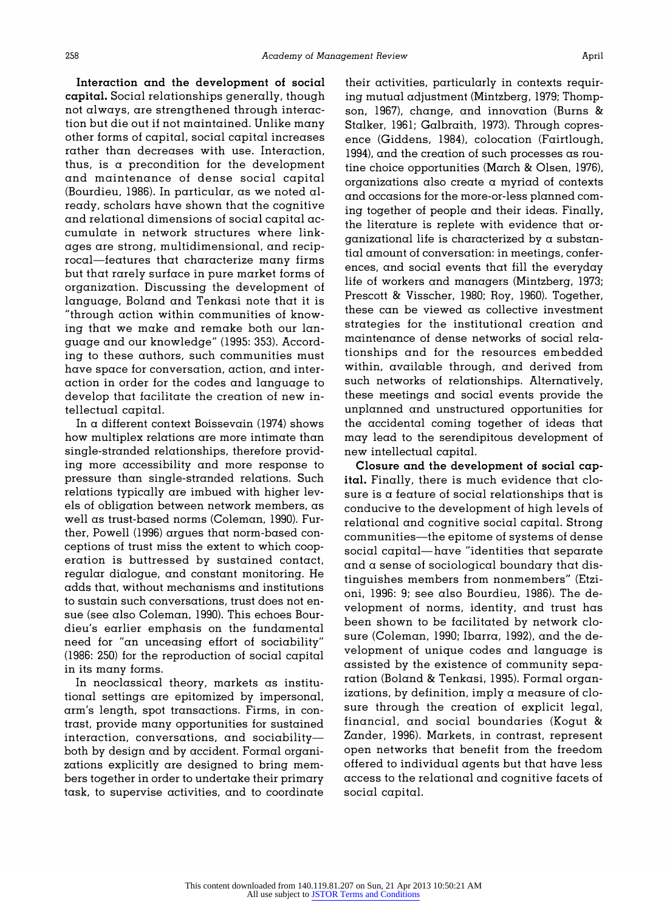**Interaction and the development of social capital. Social relationships generally, though not always, are strengthened through interaction but die out if not maintained. Unlike many other forms of capital, social capital increases rather than decreases with use. Interaction, thus, is a precondition for the development and maintenance of dense social capital (Bourdieu, 1986). In particular, as we noted already, scholars have shown that the cognitive and relational dimensions of social capital accumulate in network structures where linkages are strong, multidimensional, and reciprocal-features that characterize many firms but that rarely surface in pure market forms of organization. Discussing the development of language, Boland and Tenkasi note that it is "through action within communities of knowing that we make and remake both our language and our knowledge" (1995: 353). According to these authors, such communities must have space for conversation, action, and interaction in order for the codes and language to develop that facilitate the creation of new intellectual capital.** 

**In a different context Boissevain (1974) shows how multiplex relations are more intimate than single-stranded relationships, therefore providing more accessibility and more response to pressure than single-stranded relations. Such relations typically are imbued with higher levels of obligation between network members, as well as trust-based norms (Coleman, 1990). Further, Powell (1996) argues that norm-based conceptions of trust miss the extent to which cooperation is buttressed by sustained contact, regular dialogue, and constant monitoring. He adds that, without mechanisms and institutions to sustain such conversations, trust does not ensue (see also Coleman, 1990). This echoes Bourdieu's earlier emphasis on the fundamental need for "an unceasing effort of sociability" (1986: 250) for the reproduction of social capital in its many forms.** 

**In neoclassical theory, markets as institutional settings are epitomized by impersonal, arm's length, spot transactions. Firms, in contrast, provide many opportunities for sustained interaction, conversations, and sociabilityboth by design and by accident. Formal organizations explicitly are designed to bring members together in order to undertake their primary task, to supervise activities, and to coordinate** 

**their activities, particularly in contexts requiring mutual adjustment (Mintzberg, 1979; Thompson, 1967), change, and innovation (Burns & Stalker, 1961; Galbraith, 1973). Through copresence (Giddens, 1984), coloration (Fairtlough, 1994), and the creation of such processes as routine choice opportunities (March & Olsen, 1976), organizations also create a myriad of contexts and occasions for the more-or-less planned coming together of people and their ideas. Finally, the literature is replete with evidence that organizational life is characterized by a substantial amount of conversation: in meetings, conferences, and social events that fill the everyday life of workers and managers (Mintzberg, 1973; Prescott & Visscher, 1980; Roy, 1960). Together, these can be viewed as collective investment strategies for the institutional creation and maintenance of dense networks of social relationships and for the resources embedded within, available through, and derived from such networks of relationships. Alternatively, these meetings and social events provide the unplanned and unstructured opportunities for the accidental coming together of ideas that may lead to the serendipitous development of new intellectual capital.** 

**Closure and the development of social capital. Finally, there is much evidence that closure is a feature of social relationships that is conducive to the development of high levels of relational and cognitive social capital. Strong communities-the epitome of systems of dense social capital-have "identities that separate and a sense of sociological boundary that distinguishes members from nonmembers" (Etzioni, 1996: 9; see also Bourdieu, 1986). The development of norms, identity, and trust has been shown to be facilitated by network closure (Coleman, 1990; Ibarra, 1992), and the development of unique codes and language is assisted by the existence of community separation (Boland & Tenkasi, 1995). Formal organizations, by definition, imply a measure of closure through the creation of explicit legal, financial, and social boundaries (Kogut & Zander, 1996). Markets, in contrast, represent open networks that benefit from the freedom offered to individual agents but that have less access to the relational and cognitive facets of social capital.**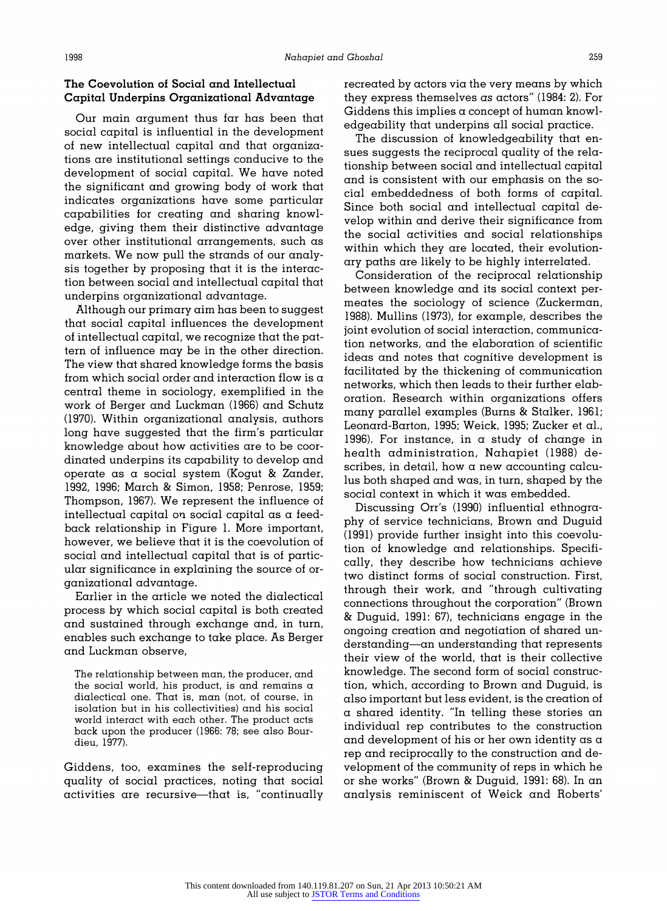# **The Coevolution of Social and Intellectual Capital Underpins Organizational Advantage**

**Our main argument thus far has been that social capital is influential in the development of new intellectual capital and that organizations are institutional settings conducive to the development of social capital. We have noted the significant and growing body of work that indicates organizations have some particular capabilities for creating and sharing knowledge, giving them their distinctive advantage over other institutional arrangements, such as markets. We now pull the strands of our analysis together by proposing that it is the interaction between social and intellectual capital that underpins organizational advantage.** 

**Although our primary aim has been to suggest that social capital influences the development of intellectual capital, we recognize that the pattern of influence may be in the other direction. The view that shared knowledge forms the basis from which social order and interaction flow is a central theme in sociology, exemplified in the work of Berger and Luckman (1966) and Schutz (1970). Within organizational analysis, authors long have suggested that the firm's particular knowledge about how activities are to be coordinated underpins its capability to develop and operate as a social system (Kogut & Zander, 1992, 1996; March & Simon, 1958; Penrose, 1959; Thompson, 1967). We represent the influence of intellectual capital on social capital as a feedback relationship in Figure 1. More important, however, we believe that it is the coevolution of social and intellectual capital that is of particular significance in explaining the source of organizational advantage.** 

**Earlier in the article we noted the dialectical process by which social capital is both created and sustained through exchange and, in turn, enables such exchange to take place. As Berger and Luckman observe,** 

**The relationship between man, the producer, and the social world, his product, is and remains a dialectical one. That is, man (not, of course, in isolation but in his collectivities) and his social world interact with each other. The product acts back upon the producer (1966: 78; see also Bourdieu, 1977).** 

**Giddens, too, examines the self-reproducing quality of social practices, noting that social activities are recursive-that is, "continually**  **recreated by actors via the very means by which they express themselves as actors" (1984: 2). For Giddens this implies a concept of human knowledgeability that underpins all social practice.** 

**The discussion of knowledgeability that ensues suggests the reciprocal quality of the relationship between social and intellectual capital and is consistent with our emphasis on the social embeddedness of both forms of capital. Since both social and intellectual capital develop within and derive their significance from the social activities and social relationships within which they are located, their evolutionary paths are likely to be highly interrelated.** 

**Consideration of the reciprocal relationship between knowledge and its social context permeates the sociology of science (Zuckerman, 1988). Mullins (1973), for example, describes the joint evolution of social interaction, communication networks, and the elaboration of scientific ideas and notes that cognitive development is facilitated by the thickening of communication networks, which then leads to their further elaboration. Research within organizations offers many parallel examples (Burns & Stalker, 1961; Leonard-Barton, 1995; Weick, 1995; Zucker et al., 1996). For instance, in a study of change in health administration, Nahapiet (1988) describes, in detail, how a new accounting calculus both shaped and was, in turn, shaped by the social context in which it was embedded.** 

**Discussing Orr's (1990) influential ethnography of service technicians, Brown and Duguid (1991) provide further insight into this coevolution of knowledge and relationships. Specifically, they describe how technicians achieve two distinct forms of social construction. First, through their work, and "through cultivating connections throughout the corporation" (Brown & Duguid, 1991: 67), technicians engage in the ongoing creation and negotiation of shared understanding-an understanding that represents their view of the world, that is their collective knowledge. The second form of social construction, which, according to Brown and Duguid, is also important but less evident, is the creation of a shared identity. "In telling these stories an individual rep contributes to the construction and development of his or her own identity as a rep and reciprocally to the construction and development of the community of reps in which he or she works" (Brown & Duguid, 1991: 68). In an analysis reminiscent of Weick and Roberts'**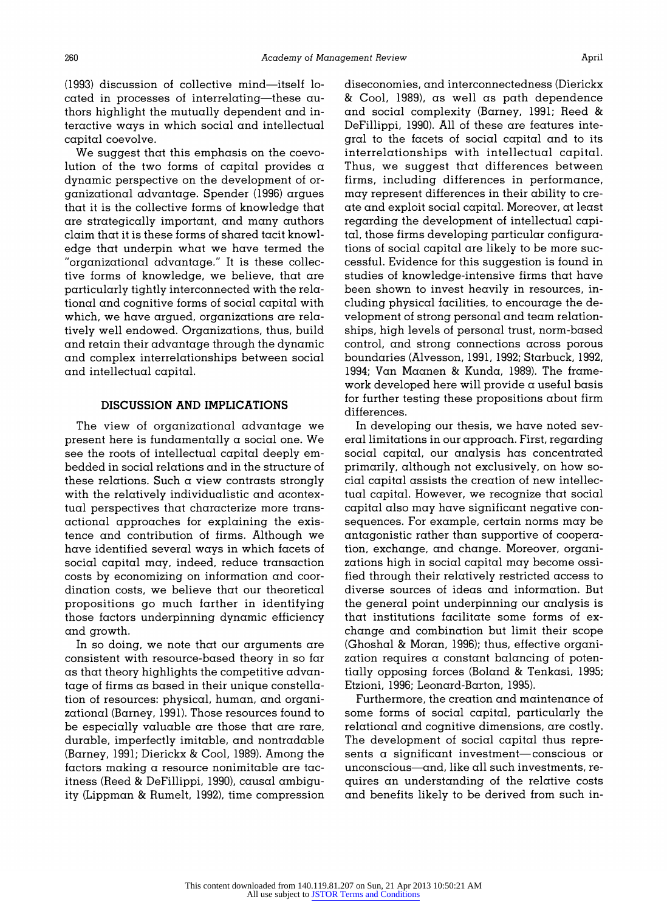**(1993) discussion of collective mind-itself lo**cated in processes of interrelating—these au**thors highlight the mutually dependent and interactive ways in which social and intellectual capital coevolve.** 

**We suggest that this emphasis on the coevolution of the two forms of capital provides a dynamic perspective on the development of organizational advantage. Spender (1996) argues that it is the collective forms of knowledge that are strategically important, and many authors claim that it is these forms of shared tacit knowledge that underpin what we have termed the "organizational advantage." It is these collective forms of knowledge, we believe, that are particularly tightly interconnected with the relational and cognitive forms of social capital with which, we have argued, organizations are relatively well endowed. Organizations, thus, build and retain their advantage through the dynamic and complex interrelationships between social and intellectual capital.** 

#### **DISCUSSION AND IMPLICATIONS**

**The view of organizational advantage we present here is fundamentally a social one. We see the roots of intellectual capital deeply embedded in social relations and in the structure of these relations. Such a view contrasts strongly with the relatively individualistic and acontextual perspectives that characterize more transactional approaches for explaining the existence and contribution of firms. Although we have identified several ways in which facets of social capital may, indeed, reduce transaction costs by economizing on information and coordination costs, we believe that our theoretical propositions go much farther in identifying those factors underpinning dynamic efficiency and growth.** 

**In so doing, we note that our arguments are consistent with resource-based theory in so far as that theory highlights the competitive advantage of firms as based in their unique constellation of resources: physical, human, and organizational (Barney, 1991). Those resources found to be especially valuable are those that are rare, durable, imperfectly imitable, and nontradable (Barney, 1991; Dierickx & Cool, 1989). Among the factors making a resource nonimitable are tacitness (Reed & DeFillippi, 1990), causal ambiguity (Lippman & Rumelt, 1992), time compression**  **diseconomies, and interconnectedness (Dierickx & Cool, 1989), as well as path dependence and social complexity (Barney, 1991; Reed & DeFillippi, 1990). All of these are features integral to the facets of social capital and to its interrelationships with intellectual capital. Thus, we suggest that differences between firms, including differences in performance, may represent differences in their ability to create and exploit social capital. Moreover, at least regarding the development of intellectual capital, those firms developing particular configurations of social capital are likely to be more successful. Evidence for this suggestion is found in studies of knowledge-intensive firms that have been shown to invest heavily in resources, including physical facilities, to encourage the development of strong personal and team relationships, high levels of personal trust, norm-based control, and strong connections across porous boundaries (Alvesson, 1991, 1992; Starbuck, 1992, 1994; Van Maanen & Kunda, 1989). The framework developed here will provide a useful basis for further testing these propositions about firm differences.** 

**In developing our thesis, we have noted several limitations in our approach. First, regarding social capital, our analysis has concentrated primarily, although not exclusively, on how social capital assists the creation of new intellectual capital. However, we recognize that social capital also may have significant negative consequences. For example, certain norms may be antagonistic rather than supportive of cooperation, exchange, and change. Moreover, organizations high in social capital may become ossified through their relatively restricted access to diverse sources of ideas and information. But the general point underpinning our analysis is that institutions facilitate some forms of exchange and combination but limit their scope (Ghoshal & Moran, 1996); thus, effective organization requires a constant balancing of potentially opposing forces (Boland & Tenkasi, 1995; Etzioni, 1996; Leonard-Barton, 1995).** 

**Furthermore, the creation and maintenance of some forms of social capital, particularly the relational and cognitive dimensions, are costly. The development of social capital thus repre**sents a significant investment-conscious or **unconscious-and, like all such investments, requires an understanding of the relative costs and benefits likely to be derived from such in-**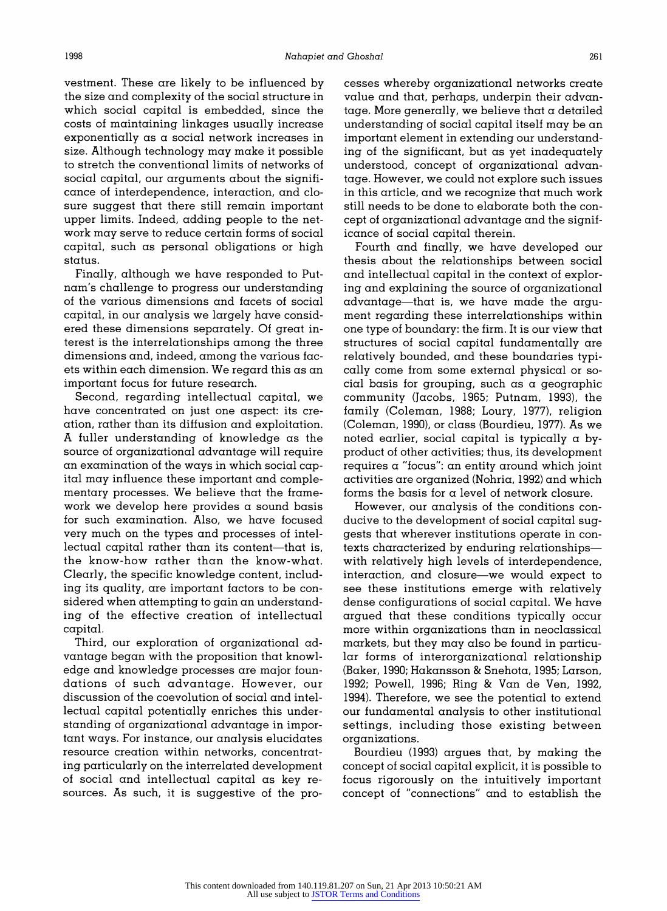**vestment. These are likely to be influenced by the size and complexity of the social structure in which social capital is embedded, since the costs of maintaining linkages usually increase exponentially as a social network increases in size. Although technology may make it possible to stretch the conventional limits of networks of social capital, our arguments about the significance of interdependence, interaction, and closure suggest that there still remain important upper limits. Indeed, adding people to the network may serve to reduce certain forms of social capital, such as personal obligations or high status.** 

**Finally, although we have responded to Putnam's challenge to progress our understanding of the various dimensions and facets of social capital, in our analysis we largely have considered these dimensions separately. Of great interest is the interrelationships among the three dimensions and, indeed, among the various facets within each dimension. We regard this as an important focus for future research.** 

**Second, regarding intellectual capital, we have concentrated on just one aspect: its creation, rather than its diffusion and exploitation. A fuller understanding of knowledge as the source of organizational advantage will require an examination of the ways in which social capital may influence these important and complementary processes. We believe that the framework we develop here provides a sound basis for such examination. Also, we have focused very much on the types and processes of intel**lectual capital rather than its content-that is, **the know-how rather than the know-what. Clearly, the specific knowledge content, including its quality, are important factors to be considered when attempting to gain an understanding of the effective creation of intellectual capital.** 

**Third, our exploration of organizational advantage began with the proposition that knowledge and knowledge processes are major foundations of such advantage. However, our discussion of the coevolution of social and intellectual capital potentially enriches this understanding of organizational advantage in important ways. For instance, our analysis elucidates resource creation within networks, concentrating particularly on the interrelated development of social and intellectual capital as key resources. As such, it is suggestive of the pro-**

**cesses whereby organizational networks create value and that, perhaps, underpin their advantage. More generally, we believe that a detailed understanding of social capital itself may be an important element in extending our understanding of the significant, but as yet inadequately understood, concept of organizational advantage. However, we could not explore such issues in this article, and we recognize that much work still needs to be done to elaborate both the concept of organizational advantage and the significance of social capital therein.** 

**Fourth and finally, we have developed our thesis about the relationships between social and intellectual capital in the context of exploring and explaining the source of organizational advantage-that is, we have made the argument regarding these interrelationships within one type of boundary: the firm. It is our view that structures of social capital fundamentally are relatively bounded, and these boundaries typically come from some external physical or social basis for grouping, such as a geographic community (Jacobs, 1965; Putnam, 1993), the family (Coleman, 1988; Loury, 1977), religion (Coleman, 1990), or class (Bourdieu, 1977). As we noted earlier, social capital is typically a byproduct of other activities; thus, its development requires a "focus": an entity around which joint activities are organized (Nohria, 1992) and which forms the basis for a level of network closure.** 

**However, our analysis of the conditions conducive to the development of social capital suggests that wherever institutions operate in contexts characterized by enduring relationshipswith relatively high levels of interdependence, interaction, and closure-we would expect to see these institutions emerge with relatively dense configurations of social capital. We have argued that these conditions typically occur more within organizations than in neoclassical markets, but they may also be found in particular forms of interorganizational relationship (Baker, 1990; Hakansson & Snehota, 1995; Larson, 1992; Powell, 1996; Ring & Van de Ven, 1992, 1994). Therefore, we see the potential to extend our fundamental analysis to other institutional settings, including those existing between organizations.** 

**Bourdieu (1993) argues that, by making the concept of social capital explicit, it is possible to focus rigorously on the intuitively important concept of "connections" and to establish the**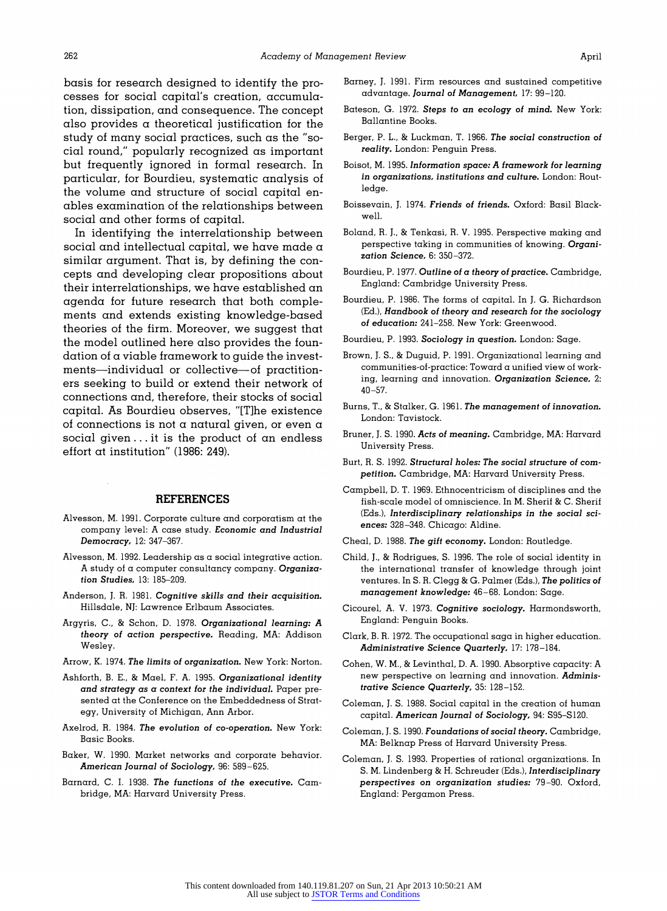**basis for research designed to identify the processes for social capital's creation, accumulation, dissipation, and consequence. The concept also provides a theoretical justification for the study of many social practices, such as the "social round," popularly recognized as important but frequently ignored in formal research. In particular, for Bourdieu, systematic analysis of the volume and structure of social capital enables examination of the relationships between social and other forms of capital.** 

**In identifying the interrelationship between social and intellectual capital, we have made a similar argument. That is, by defining the concepts and developing clear propositions about their interrelationships, we have established an agenda for future research that both complements and extends existing knowledge-based theories of the firm. Moreover, we suggest that the model outlined here also provides the foundation of a viable framework to guide the invest**ments—individual or collective—of practition**ers seeking to build or extend their network of connections and, therefore, their stocks of social capital. As Bourdieu observes, "[T]he existence of connections is not a natural given, or even a social given ... it is the product of an endless effort at institution" (1986: 249).** 

#### **REFERENCES**

- **Alvesson, M. 1991. Corporate culture and corporatism at the company level: A case study. Economic and Industrial Democracy, 12: 347-367.**
- **Alvesson, M. 1992. Leadership as a social integrative action. A study of a computer consultancy company. Organization Studies, 13: 185-209.**
- **Anderson, J. R. 1981. Cognitive skills and their acquisition. Hillsdale, NJ: Lawrence Erlbaum Associates.**
- **Argyris, C., & Schon, D. 1978. Organizational learning: A theory of action perspective. Reading, MA: Addison Wesley.**
- **Arrow, K. 1974. The limits of organization. New York: Norton.**
- **Ashforth, B. E., & Mael, F. A. 1995. Organizational identity and strategy as a context for the individual. Paper presented at the Conference on the Embeddedness of Strategy, University of Michigan, Ann Arbor.**
- **Axelrod, R. 1984. The evolution of co-operation. New York: Basic Books.**
- **Baker, W. 1990. Market networks and corporate behavior. American Journal of Sociology, 96: 589-625.**
- **Barnard, C. I. 1938. The functions of the executive. Cambridge, MA: Harvard University Press.**
- **Barney, J. 1991. Firm resources and sustained competitive advantage. Journal of Management, 17: 99-120.**
- **Bateson, G. 1972. Steps to an ecology of mind. New York: Ballantine Books.**
- **Berger, P. L., & Luckman, T. 1966. The social construction of reality. London: Penguin Press.**
- **Boisot, M. 1995. Information space: A framework for learning in organizations, institutions and culture. London: Routledge.**
- **Boissevain, J. 1974. Friends of friends. Oxford: Basil Blackwell.**
- **Boland, R. J., & Tenkasi, R. V. 1995. Perspective making and perspective taking in communities of knowing. Organization Science, 6: 350-372.**
- **Bourdieu, P. 1977. Outline of a theory of practice. Cambridge, England: Cambridge University Press.**
- **Bourdieu, P. 1986. The forms of capital. In J. G. Richardson (Ed.), Handbook of theory and research for the sociology of education: 241-258. New York: Greenwood.**
- **Bourdieu, P. 1993. Sociology in question. London: Sage.**
- **Brown, J. S., & Duguid, P. 1991. Organizational learning and communities-of-practice: Toward a unified view of working, learning and innovation. Organization Science, 2: 40-57.**
- **Burns, T., & Stalker, G. 1961. The management of innovation. London: Tavistock.**
- **Bruner, J. S. 1990. Acts of meaning. Cambridge, MA: Harvard University Press.**
- **Burt, R. S. 1992. Structural holes: The social structure of competition. Cambridge, MA: Harvard University Press.**
- **Campbell, D. T. 1969. Ethnocentricism of disciplines and the fish-scale model of omniscience. In M. Sherif & C. Sherif (Eds.), Interdisciplinary relationships in the social sciences: 328-348. Chicago: Aldine.**
- **Cheal, D. 1988. The gift economy. London: Routledge.**
- **Child, J., & Rodrigues, S. 1996. The role of social identity in the international transfer of knowledge through joint ventures. In S. R. Clegg & G. Palmer (Eds.), The politics of management knowledge: 46-68. London: Sage.**
- **Cicourel, A. V. 1973. Cognitive sociology. Harmondsworth, England: Penguin Books.**
- **Clark, B. R. 1972. The occupational saga in higher education. Administrative Science Quarterly, 17: 178-184.**
- **Cohen, W. M., & Levinthal, D. A. 1990. Absorptive capacity: A new perspective on learning and innovation. Administrative Science Quarterly, 35: 128-152.**
- **Coleman, J. S. 1988. Social capital in the creation of human capital. American Journal of Sociology, 94: S95-S120.**
- **Coleman, J. S. 1990. Foundations of social theory. Cambridge, MA: Belknap Press of Harvard University Press.**
- **Coleman, J. S. 1993. Properties of rational organizations. In S. M. Lindenberg & H. Schreuder (Eds.), Interdisciplinary perspectives on organization studies: 79-90. Oxford, England: Pergamon Press.**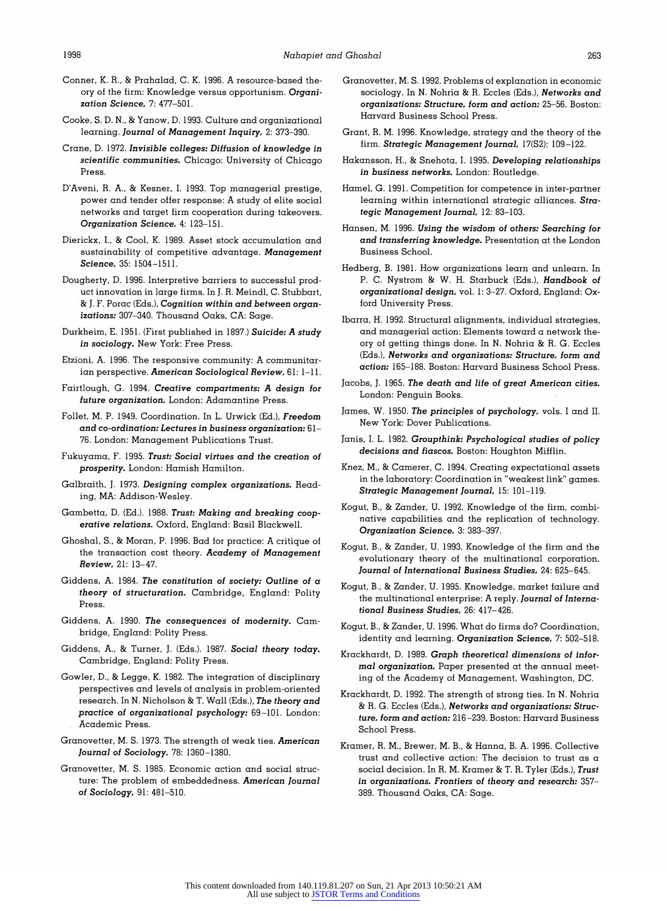- **Conner, K. R., & Prahalad, C. K. 1996. A resource-based theory of the firm: Knowledge versus opportunism. Organization Science, 7: 477-501.**
- **Cooke, S. D. N., & Yanow, D. 1993. Culture and organizational learning. Journal of Management Inquiry, 2: 373-390.**
- **Crane, D. 1972. Invisible colleges: Diffusion of knowledge in scientific communities. Chicago: University of Chicago Press.**
- **D'Aveni, R. A., & Kesner, I. 1993. Top managerial prestige, power and tender offer response: A study of elite social networks and target firm cooperation during takeovers. Organization Science, 4: 123-151.**
- **Dierickx, I., & Cool, K. 1989. Asset stock accumulation and sustainability of competitive advantage. Management Science, 35: 1504-1511.**
- **Dougherty, D. 1996. Interpretive barriers to successful product innovation in large firms. In J. R. Meindl, C. Stubbart, & J. F. Porac (Eds.), Cognition within and between organizations: 307-340. Thousand Oaks, CA: Sage.**
- **Durkheim, E. 1951. (First published in 1897.) Suicide: A study in sociology. New York: Free Press.**
- **Etzioni, A. 1996. The responsive community: A communitarian perspective. American Sociological Review, 61: 1-11.**
- **Fairtlough, G. 1994. Creative compartments: A design for future organization. London: Adamantine Press.**
- **Follet, M. P. 1949. Coordination. In L. Urwick (Ed.), Freedom and co-ordination: Lectures in business organization: 61- 76. London: Management Publications Trust.**
- **Fukuyama, F. 1995. Trust: Social virtues and the creation of prosperity. London: Hamish Hamilton.**
- **Galbraith, J. 1973. Designing complex organizations. Reading, MA: Addison-Wesley.**
- **Gambetta, D. (Ed.). 1988. Trust: Making and breaking cooperative relations. Oxford, England: Basil Blackwell.**
- **Ghoshal, S., & Moran, P. 1996. Bad for practice: A critique of the transaction cost theory. Academy of Management Review, 21: 13-47.**
- **Giddens, A. 1984. The constitution of society: Outline of a theory of structuration. Cambridge, England: Polity Press.**
- **Giddens, A. 1990. The consequences of modernity. Cambridge, England: Polity Press.**
- **Giddens, A., & Turner, J. (Eds.). 1987. Social theory today. Cambridge, England: Polity Press.**
- **Gowler, D., & Legge, K. 1982. The integration of disciplinary perspectives and levels of analysis in problem-oriented research. In N. Nicholson & T. Wall (Eds.), The theory and practice of organizational psychology: 69-101. London: Academic Press.**
- **Granovetter, M. S. 1973. The strength of weak ties. American Journal of Sociology, 78: 1360-1380.**
- **Granovetter, M. S. 1985. Economic action and social structure: The problem of embeddedness. American Journal of Sociology, 91: 481-510.**
- **Granovetter, M. S. 1992. Problems of explanation in economic sociology. In N. Nohria & R. Eccles (Eds.), Networks and organizations: Structure, form and action: 25-56. Boston: Harvard Business School Press.**
- **Grant, R. M. 1996. Knowledge, strategy and the theory of the firm. Strategic Management Journal, 17(S2): 109-122.**
- **Hakansson, H., & Snehota, I. 1995. Developing relationships in business networks. London: Routledge.**
- **Hamel, G. 1991. Competition for competence in inter-partner learning within international strategic alliances. Strategic Management Journal, 12: 83-103.**
- **Hansen, M. 1996. Using the wisdom of others: Searching for and transferring knowledge. Presentation at the London Business School.**
- **Hedberg, B. 1981. How organizations learn and unlearn. In P. C. Nystrom & W. H. Starbuck (Eds.), Handbook of organizational design, vol. 1: 3-27. Oxford, England: Oxford University Press.**
- **Ibarra, H. 1992. Structural alignments, individual strategies, and managerial action: Elements toward a network theory of getting things done. In N. Nohria & R. G. Eccles (Eds.), Networks and organizations: Structure, form and action: 165-188. Boston: Harvard Business School Press.**
- **Jacobs, J. 1965. The death and life of great American cities. London: Penguin Books.**
- **James, W. 1950. The principles of psychology, vols. I and II. New York: Dover Publications.**
- **Janis, I. L. 1982. Groupthink: Psychological studies of policy decisions and fiascos. Boston: Houghton Mifflin.**
- **Knez, M., & Camerer, C. 1994. Creating expectational assets in the laboratory: Coordination in "weakest link" games. Strategic Management Journal, 15: 101-119.**
- **Kogut, B., & Zander, U. 1992. Knowledge of the firm, combinative capabilities and the replication of technology. Organization Science, 3: 383-397.**
- **Kogut, B., & Zander, U. 1993. Knowledge of the firm and the evolutionary theory of the multinational corporation. Journal of International Business Studies, 24: 625-645.**
- **Kogut, B., & Zander, U. 1995. Knowledge, market failure and the multinational enterprise: A reply. Journal of International Business Studies, 26: 417-426.**
- **Kogut, B., & Zander, U. 1996. What do firms do? Coordination, identity and learning. Organization Science, 7: 502-518.**
- **Krackhardt, D. 1989. Graph theoretical dimensions of informal organization. Paper presented at the annual meeting of the Academy of Management, Washington, DC.**
- **Krackhardt, D. 1992. The strength of strong ties. In N. Nohria & R. G. Eccles (Eds.), Networks and organizations: Structure, form and action: 216-239. Boston: Harvard Business School Press.**
- **Kramer, R. M., Brewer, M. B., & Hanna, B. A. 1996. Collective trust and collective action: The decision to trust as a social decision. In R. M. Kramer & T. R. Tyler (Eds.), Trust in organizations. Frontiers of theory and research: 357- 389. Thousand Oaks, CA: Sage.**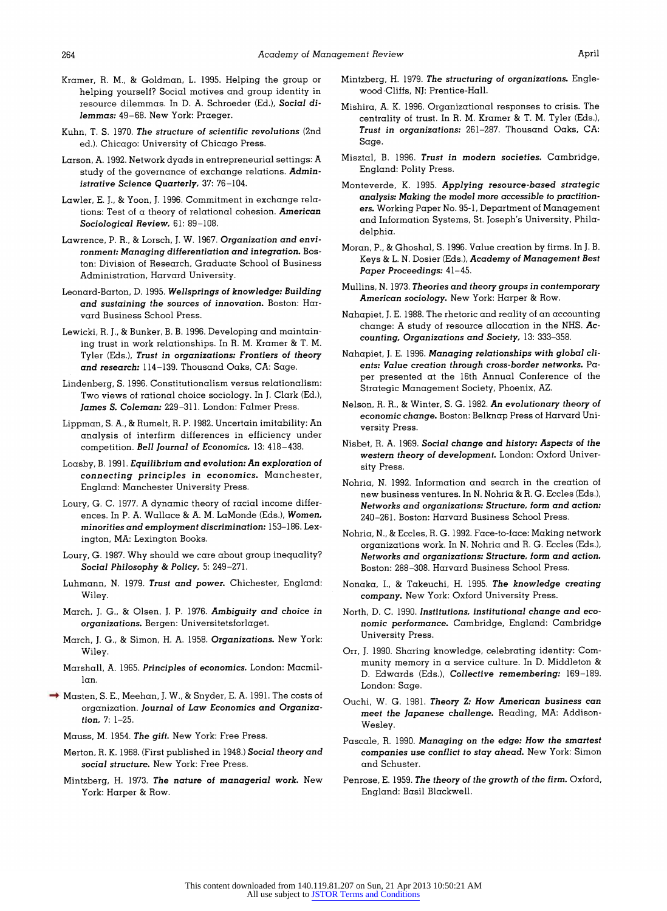- **Kramer, R. M., & Goldman, L. 1995. Helping the group or helping yourself? Social motives and group identity in resource dilemmas. In D. A. Schroeder (Ed.), Social dilemmas: 49-68. New York: Praeger.**
- **Kuhn, T. S. 1970. The structure of scientific revolutions (2nd ed.). Chicago: University of Chicago Press.**
- **Larson, A. 1992. Network dyads in entrepreneurial settings: A study of the governance of exchange relations. Administrative Science Quarterly, 37: 76-104.**
- **Lawler, E. J., & Yoon, J. 1996. Commitment in exchange relations: Test of a theory of relational cohesion. American Sociological Review, 61: 89-108.**
- **Lawrence, P. R., & Lorsch, J. W. 1967. Organization and environment: Managing differentiation and integration. Boston: Division of Research, Graduate School of Business Administration, Harvard University.**
- **Leonard-Barton, D. 1995. Wellsprings of knowledge: Building and sustaining the sources of innovation. Boston: Harvard Business School Press.**
- **Lewicki, R. J., & Bunker, B. B. 1996. Developing and maintaining trust in work relationships. In R. M. Kramer & T. M. Tyler (Eds.), Trust in organizations: Frontiers of theory and research: 114-139. Thousand Oaks, CA: Sage.**
- **Lindenberg, S. 1996. Constitutionalism versus relationalism: Two views of rational choice sociology. In J. Clark (Ed.), James S. Coleman: 229-311. London: Falmer Press.**
- **Lippman, S. A., & Rumelt, R. P. 1982. Uncertain imitability: An analysis of interfirm differences in efficiency under competition. Bell Journal of Economics, 13: 418-438.**
- **Loasby, B. 1991. Equilibrium and evolution: An exploration of connecting principles in economics. Manchester, England: Manchester University Press.**
- **Loury, G. C. 1977. A dynamic theory of racial income differences. In P. A. Wallace & A. M. LaMonde (Eds.), Women, minorities and employment discrimination: 153-186. Lexington, MA: Lexington Books.**
- **Loury, G. 1987. Why should we care about group inequality? Social Philosophy & Policy, 5: 249-271.**
- **Luhmann, N. 1979. Trust and power. Chichester, England: Wiley.**
- **March, J. G., & Olsen, J. P. 1976. Ambiguity and choice in organizations. Bergen: Universitetsforlaget.**
- **March, J. G., & Simon, H. A. 1958. Organizations. New York: Wiley.**
- **Marshall, A. 1965. Principles of economics. London: Macmillan.**
- **Masten, S. E., Meehan, J. W., & Snyder, E. A. 1991. The costs of organization. Journal of Law Economics and Organization, 7: 1-25.** 
	- **Mauss, M. 1954. The gift. New York: Free Press.**
	- **Merton, R. K. 1968. (First published in 1948.) Social theory and social structure. New York: Free Press.**
	- **Mintzberg, H. 1973. The nature of managerial work. New York: Harper & Row.**
- **Mintzberg, H. 1979. The structuring of organizations. Englewood-Cliffs, NJ: Prentice-Hall.**
- **Mishira, A. K. 1996. Organizational responses to crisis. The centrality of trust. In R. M. Kramer & T. M. Tyler (Eds.), Trust in organizations: 261-287. Thousand Oaks, CA: Sage.**
- **Misztal, B. 1996. Trust in modern societies. Cambridge, England: Polity Press.**
- **Monteverde, K. 1995. Applying resource-based strategic analysis: Making the model more accessible to practitioners. Working Paper No. 95-1, Department of Management and Information Systems, St. Joseph's University, Philadelphia.**
- **Moran, P., & Ghoshal, S. 1996. Value creation by firms. In J. B. Keys & L. N. Dosier (Eds.), Academy of Management Best Paper Proceedings: 41-45.**
- **Mullins, N. 1973. Theories and theory groups in contemporary American sociology. New York: Harper & Row.**
- **Nahapiet, J. E. 1988. The rhetoric and reality of an accounting change: A study of resource allocation in the NHS. Accounting, Organizations and Society, 13: 333-358.**
- **Nahapiet, J. E. 1996. Managing relationships with global clients: Value creation through cross-border networks. Paper presented at the 16th Annual Conference of the Strategic Management Society, Phoenix, AZ.**
- **Nelson, R. R., & Winter, S. G. 1982. An evolutionary theory of economic change. Boston: Belknap Press of Harvard University Press.**
- **Nisbet, R. A. 1969. Social change and history: Aspects of the western theory of development. London: Oxford University Press.**
- **Nohria, N. 1992. Information and search in the creation of new business ventures. In N. Nohria & R. G. Eccles (Eds.), Networks and organizations: Structure, form and action: 240-261. Boston: Harvard Business School Press.**
- **Nohria, N., & Eccles, R. G. 1992. Face-to-face: Making network organizations work. In N. Nohria and R. G. Eccles (Eds.), Networks and organizations: Structure, form and action. Boston: 288-308. Harvard Business School Press.**
- **Nonaka, I., & Takeuchi, H. 1995. The knowledge creating company. New York: Oxford University Press.**
- **North, D. C. 1990. Institutions, institutional change and economic performance. Cambridge, England: Cambridge University Press.**
- **Orr, J. 1990. Sharing knowledge, celebrating identity: Community memory in a service culture. In D. Middleton & D. Edwards (Eds.), Collective remembering: 169-189. London: Sage.**
- **Ouchi, W. G. 1981. Theory Z: How American business can meet the Japanese challenge. Reading, MA: Addison-Wesley.**
- **Pascale, R. 1990. Managing on the edge: How the smartest companies use conflict to stay ahead. New York: Simon and Schuster.**
- **Penrose, E. 1959. The theory of the growth of the firm. Oxford, England: Basil Blackwell.**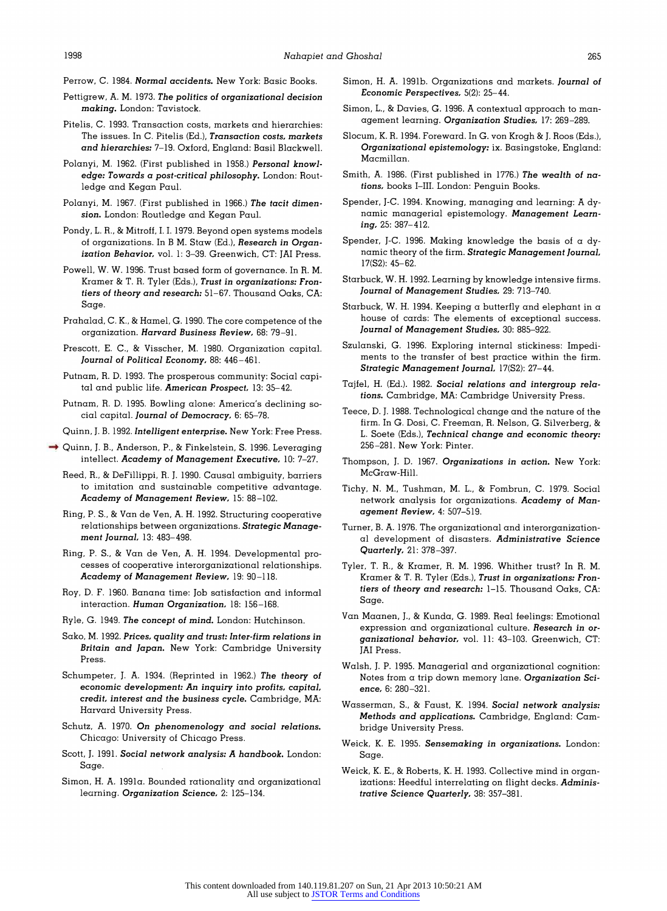- **Perrow, C. 1984. Normal accidents. New York: Basic Books.**
- **Pettigrew, A. M. 1973. The politics of organizational decision making. London: Tavistock.**
- **Pitelis, C. 1993. Transaction costs, markets and hierarchies: The issues. In C. Pitelis (Ed.), Transaction costs, markets and hierarchies: 7-19. Oxford, England: Basil Blackwell.**
- Polanyi, M. 1962. (First published in 1958.) Personal knowl**edge: Towards a post-critical philosophy. London: Routledge and Kegan Paul.**
- **Polanyi, M. 1967. (First published in 1966.) The tacit dimension. London: Routledge and Kegan Paul.**
- **Pondy, L. R., & Mitroff, I. I. 1979. Beyond open systems models of organizations. In B M. Staw (Ed.), Research in Organization Behavior, vol. 1: 3-39. Greenwich, CT: JAI Press.**
- **Powell, W. W. 1996. Trust based form of governance. In R. M. Kramer & T. R. Tyler (Eds.), Trust in organizations: Frontiers of theory and research: 51-67. Thousand Oaks, CA: Sage.**
- **Prahalad, C. K., & Hamel, G. 1990. The core competence of the organization. Harvard Business Review, 68: 79-91.**
- **Prescott, E. C., & Visscher, M. 1980. Organization capital. Journal of Political Economy, 88: 446-461.**
- **Putnam, R. D. 1993. The prosperous community: Social capital and public life. American Prospect, 13: 35-42.**
- **Putnam, R. D. 1995. Bowling alone: America's declining social capital. Journal of Democracy, 6: 65-78.**
- **Quinn, J. B. 1992. Intelligent enterprise. New York: Free Press.**
- **Quinn, J. B., Anderson, P., & Finkelstein, S. 1996. Leveraging intellect. Academy of Management Executive, 10: 7-27.** 
	- **Reed, R., & DeFillippi, R. J. 1990. Causal ambiguity, barriers to imitation and sustainable competitive advantage. Academy of Management Review, 15: 88-102.**
	- **Ring, P. S., & Van de Ven, A. H. 1992. Structuring cooperative relationships between organizations. Strategic Management Journal, 13: 483-498.**
	- **Ring, P. S., & Van de Ven, A. H. 1994. Developmental processes of cooperative interorganizational relationships. Academy of Management Review, 19: 90-118.**
	- **Roy, D. F. 1960. Banana time: Job satisfaction and informal interaction. Human Organization, 18: 156-168.**
	- **Ryle, G. 1949. The concept of mind. London: Hutchinson.**
	- **Sako, M. 1992. Prices, quality and trust: Inter-firm relations in Britain and Japan. New York: Cambridge University Press.**
	- **Schumpeter, J. A. 1934. (Reprinted in 1962.) The theory of economic development: An inquiry into profits, capital, credit, interest and the business cycle. Cambridge, MA: Harvard University Press.**
	- **Schutz, A. 1970. On phenomenology and social relations. Chicago: University of Chicago Press.**
	- **Scott, J. 1991. Social network analysis: A handbook. London: Sage.**
	- **Simon, H. A. 1991a. Bounded rationality and organizational learning. Organization Science, 2: 125-134.**
- **Simon, H. A. 1991b. Organizations and markets. Journal of Economic Perspectives, 5(2): 25-44.**
- **Simon, L., & Davies, G. 1996. A contextual approach to management learning. Organization Studies, 17: 269-289.**
- **Slocum, K. R. 1994. Foreward. In G. von Krogh & J. Roos (Eds.), Organizational epistemology: ix. Basingstoke, England: Macmillan.**
- **Smith, A. 1986. (First published in 1776.) The wealth of nations, books I-III. London: Penguin Books.**
- **Spender, J-C. 1994. Knowing, managing and learning: A dynamic managerial epistemology. Management Learning, 25: 387-412.**
- Spender, J-C. 1996. Making knowledge the basis of a dy**namic theory of the firm. Strategic Management Journal, 17(S2): 45-62.**
- **Starbuck, W. H. 1992. Learning by knowledge intensive firms. Journal of Management Studies, 29: 713-740.**
- **Starbuck, W. H. 1994. Keeping a butterfly and elephant in a house of cards: The elements of exceptional success. Journal of Management Studies, 30: 885-922.**
- **Szulanski, G. 1996. Exploring internal stickiness: Impediments to the transfer of best practice within the firm. Strategic Management Journal, 17(S2): 27-44.**
- **Tajfel, H. (Ed.). 1982. Social relations and intergroup relations. Cambridge, MA: Cambridge University Press.**
- **Teece, D. J. 1988. Technological change and the nature of the firm. In G. Dosi, C. Freeman, R. Nelson, G. Silverberg, & L. Soete (Eds.), Technical change and economic theory: 256-281. New York: Pinter.**
- **Thompson, J. D. 1967. Organizations in action. New York: McGraw-Hill.**
- **Tichy, N. M., Tushman, M. L., & Fombrun, C. 1979. Social network analysis for organizations. Academy of Management Review, 4: 507-519.**
- **Turner, B. A. 1976. The organizational and interorganizational development of disasters. Administrative Science Quarterly, 21: 378-397.**
- **Tyler, T. R., & Kramer, R. M. 1996. Whither trust? In R. M. Kramer & T. R. Tyler (Eds.), Trust in organizations: Frontiers of theory and research: 1-15. Thousand Oaks, CA: Sage.**
- **Van Maanen, J., & Kunda, G. 1989. Real feelings: Emotional expression and organizational culture. Research in organizational behavior, vol. 11: 43-103. Greenwich, CT: JAI Press.**
- **Walsh, J. P. 1995. Managerial and organizational cognition: Notes from a trip down memory lane. Organization Science, 6: 280-321.**
- **Wasserman, S., & Faust, K. 1994. Social network analysis: Methods and applications. Cambridge, England: Cambridge University Press.**
- **Weick, K. E. 1995. Sensemaking in organizations. London: Sage.**
- **Weick, K. E., & Roberts, K. H. 1993. Collective mind in organizations: Heedful interrelating on flight decks. Administrative Science Quarterly, 38: 357-381.**